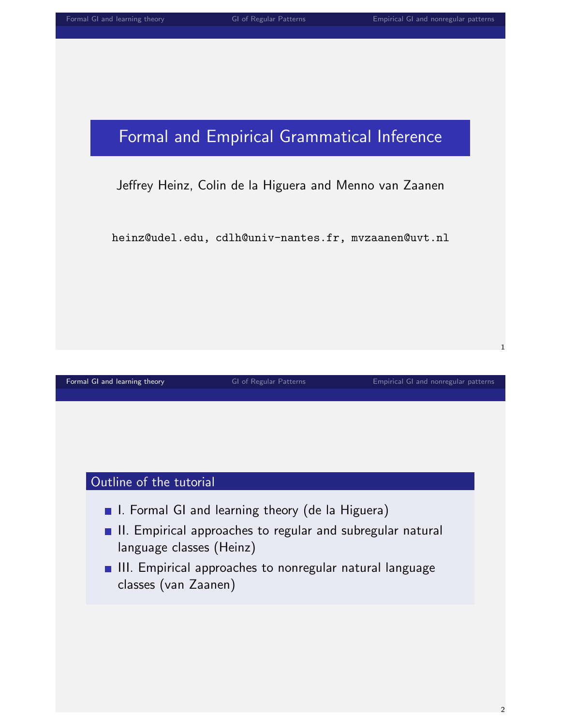# Formal and Empirical Grammatical Inference

#### Jeffrey Heinz, Colin de la Higuera and Menno van Zaanen

heinz@udel.edu, cdlh@univ-nantes.fr, mvzaanen@uvt.nl

[Formal GI and learning theory](#page-0-0) **[GI of Regular Patterns](#page-26-0)** [Empirical GI and nonregular patterns](#page-55-0) **Empirical GI** and nonregular patterns

#### Outline of the tutorial

- I. Formal GI and learning theory (de la Higuera)
- **II.** Empirical approaches to regular and subregular natural language classes (Heinz)
- <span id="page-0-0"></span>**III.** Empirical approaches to nonregular natural language classes (van Zaanen)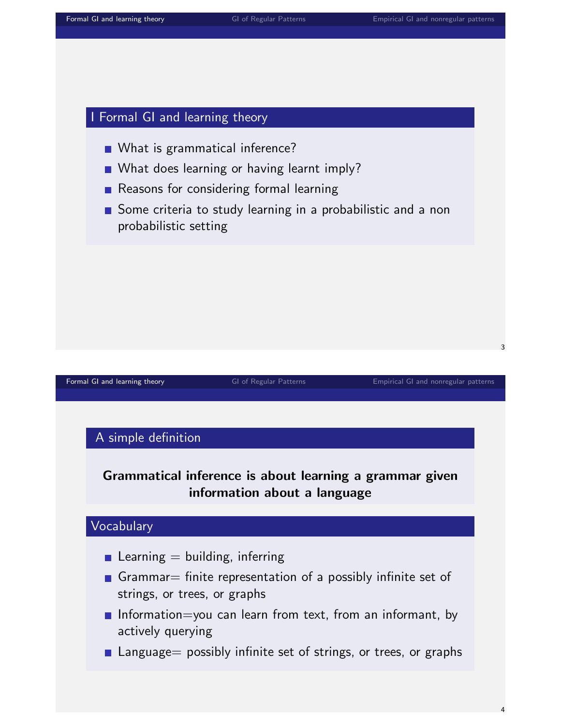#### I Formal GI and learning theory

- What is grammatical inference?
- **NAT What does learning or having learnt imply?**
- Reasons for considering formal learning
- Some criteria to study learning in a probabilistic and a non probabilistic setting

[Formal GI and learning theory](#page-0-0) **[GI of Regular Patterns](#page-26-0)** [Empirical GI and nonregular patterns](#page-55-0) **Empirical GI and nonregular patterns** 

#### A simple definition

#### Grammatical inference is about learning a grammar given information about a language

#### Vocabulary

- Learning  $=$  building, inferring
- Grammar = finite representation of a possibly infinite set of strings, or trees, or graphs
- **Information**=you can learn from text, from an informant, by actively querying
- **Language** possibly infinite set of strings, or trees, or graphs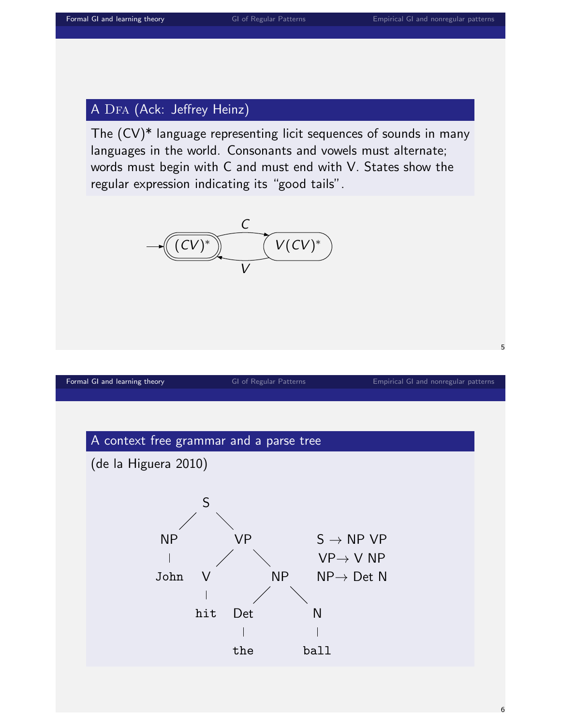#### A DFA (Ack: Jeffrey Heinz)

The (CV)\* language representing licit sequences of sounds in many languages in the world. Consonants and vowels must alternate; words must begin with C and must end with V. States show the regular expression indicating its "good tails".



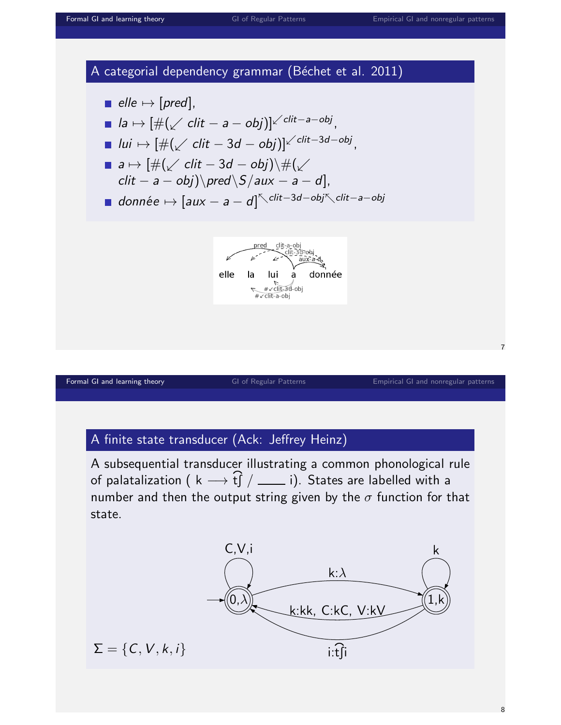

#### A finite state transducer (Ack: Jeffrey Heinz)

A subsequential transducer illustrating a common phonological rule of palatalization (  $\mathsf{k} \longrightarrow$  $\tilde{\Omega}$ tS / i). States are labelled with a number and then the output string given by the  $\sigma$  function for that state.

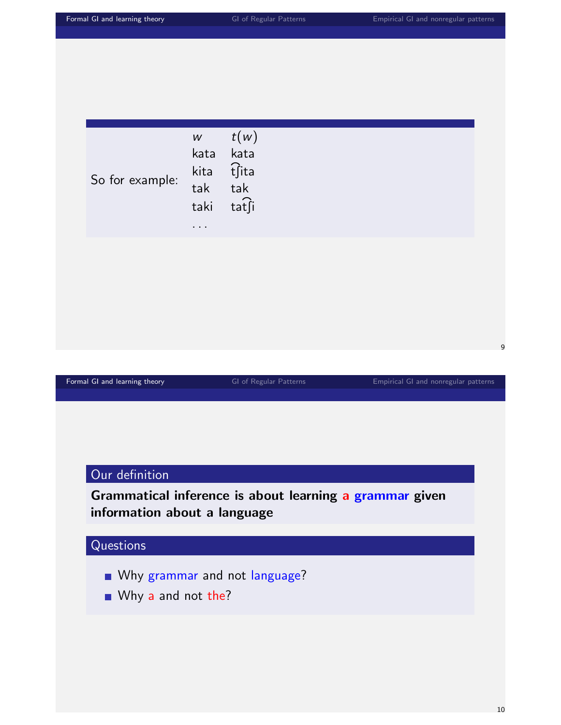| Formal GI and learning theory                                                           |                                                                      | GI of Regular Patterns                | Empirical GI and nonregular patterns |   |  |
|-----------------------------------------------------------------------------------------|----------------------------------------------------------------------|---------------------------------------|--------------------------------------|---|--|
|                                                                                         |                                                                      |                                       |                                      |   |  |
| So for example:                                                                         | $\ensuremath{\mathsf{W}}\xspace$<br>kata<br>kita<br>tak<br>taki<br>. | t(w)<br>kata<br>tfita<br>tak<br>tatsi |                                      |   |  |
|                                                                                         |                                                                      |                                       |                                      |   |  |
|                                                                                         |                                                                      |                                       |                                      | 9 |  |
| Formal GI and learning theory                                                           |                                                                      | GI of Regular Patterns                | Empirical GI and nonregular patterns |   |  |
|                                                                                         |                                                                      |                                       |                                      |   |  |
| Our definition                                                                          |                                                                      |                                       |                                      |   |  |
| Grammatical inference is about learning a grammar given<br>information about a language |                                                                      |                                       |                                      |   |  |
| Questions                                                                               |                                                                      |                                       |                                      |   |  |
| Why a and not the?                                                                      |                                                                      | ■ Why grammar and not language?       |                                      |   |  |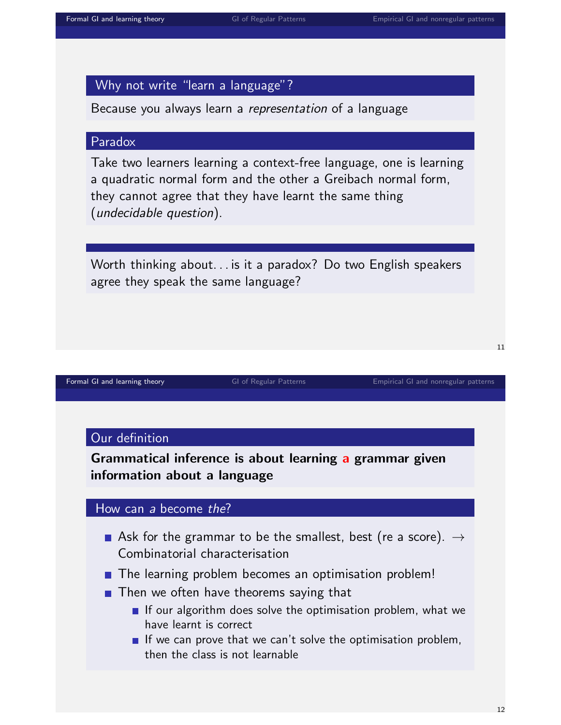#### Why not write "learn a language"?

Because you always learn a representation of a language

#### Paradox

Take two learners learning a context-free language, one is learning a quadratic normal form and the other a Greibach normal form, they cannot agree that they have learnt the same thing (undecidable question).

Worth thinking about. . . is it a paradox? Do two English speakers agree they speak the same language?

[Formal GI and learning theory](#page-0-0) **[GI of Regular Patterns](#page-26-0)** [Empirical GI and nonregular patterns](#page-55-0) **Empirical GI and nonregular patterns** 

#### Our definition

Grammatical inference is about learning a grammar given information about a language

#### How can a become the?

- Ask for the grammar to be the smallest, best (re a score).  $\rightarrow$ Combinatorial characterisation
- **The learning problem becomes an optimisation problem!**
- $\blacksquare$  Then we often have theorems saying that
	- If our algorithm does solve the optimisation problem, what we have learnt is correct
	- If we can prove that we can't solve the optimisation problem, then the class is not learnable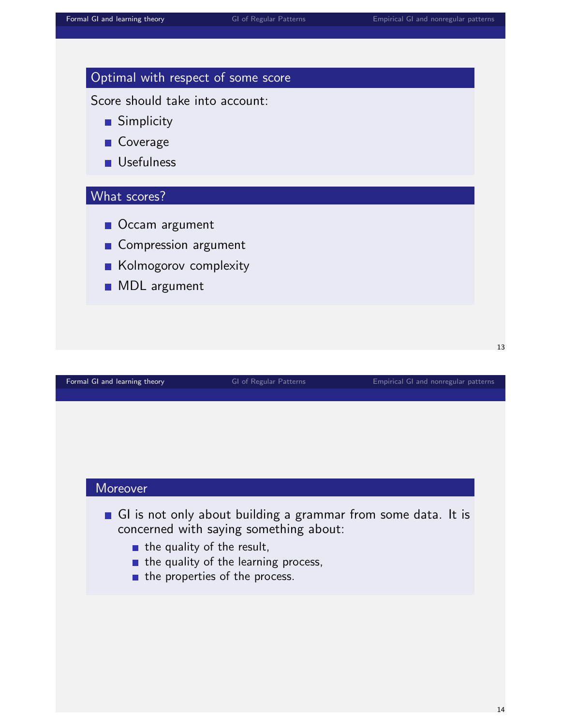| Optimal with respect of some score<br>Score should take into account: |                        |                                      |
|-----------------------------------------------------------------------|------------------------|--------------------------------------|
| <b>Simplicity</b>                                                     |                        |                                      |
| $\blacksquare$ Coverage                                               |                        |                                      |
| <b>Usefulness</b>                                                     |                        |                                      |
| What scores?                                                          |                        |                                      |
| ■ Occam argument                                                      |                        |                                      |
| Compression argument                                                  |                        |                                      |
| Kolmogorov complexity                                                 |                        |                                      |
| <b>MDL</b> argument                                                   |                        |                                      |
|                                                                       |                        |                                      |
|                                                                       |                        |                                      |
|                                                                       |                        |                                      |
| Formal GI and learning theory                                         | GI of Regular Patterns | Empirical GI and nonregular patterns |

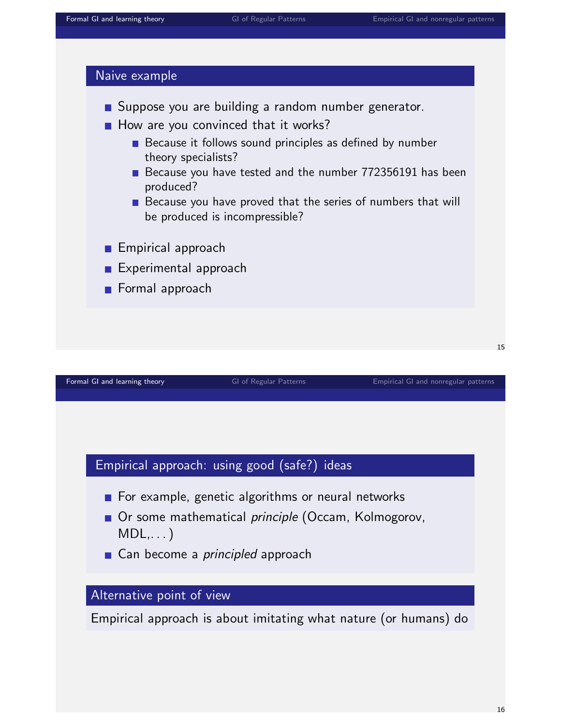#### Naive example



- $\blacksquare$  How are you convinced that it works?
	- $\blacksquare$  Because it follows sound principles as defined by number theory specialists?
	- Because you have tested and the number 772356191 has been produced?
	- Because you have proved that the series of numbers that will be produced is incompressible?
- **Empirical approach**
- **Experimental approach**
- **Formal approach**

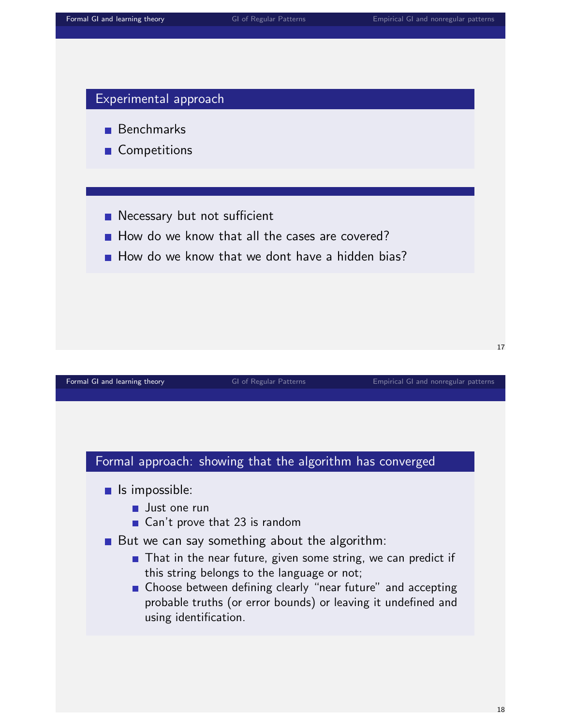

- Benchmarks
- **Competitions**
- **Necessary but not sufficient**
- $\blacksquare$  How do we know that all the cases are covered?
- $\blacksquare$  How do we know that we dont have a hidden bias?

#### [Formal GI and learning theory](#page-0-0) **[GI of Regular Patterns](#page-26-0)** [Empirical GI and nonregular patterns](#page-55-0) **Empirical GI** and nonregular patterns

### Formal approach: showing that the algorithm has converged

- $\blacksquare$  Is impossible:
	- **Just one run**
	- Can't prove that 23 is random
- But we can say something about the algorithm:
	- **That in the near future, given some string, we can predict if** this string belongs to the language or not;
	- **n** Choose between defining clearly "near future" and accepting probable truths (or error bounds) or leaving it undefined and using identification.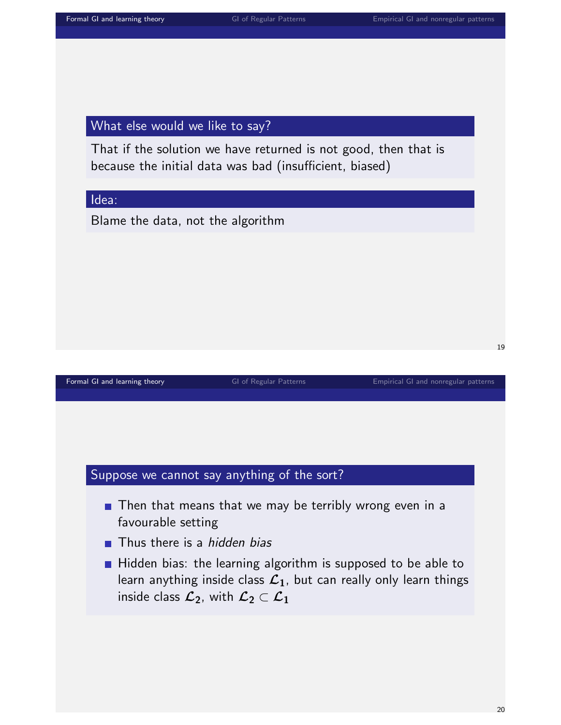#### What else would we like to say?

That if the solution we have returned is not good, then that is because the initial data was bad (insufficient, biased)

#### Idea:

Blame the data, not the algorithm

[Formal GI and learning theory](#page-0-0) **[GI of Regular Patterns](#page-26-0)** [Empirical GI and nonregular patterns](#page-55-0) **Empirical GI** and nonregular patterns

#### Suppose we cannot say anything of the sort?

- $\blacksquare$  Then that means that we may be terribly wrong even in a favourable setting
- **Thus there is a hidden bias**
- Hidden bias: the learning algorithm is supposed to be able to learn anything inside class  $\mathcal{L}_1$ , but can really only learn things inside class  $\mathcal{L}_2$ , with  $\mathcal{L}_2 \subset \mathcal{L}_1$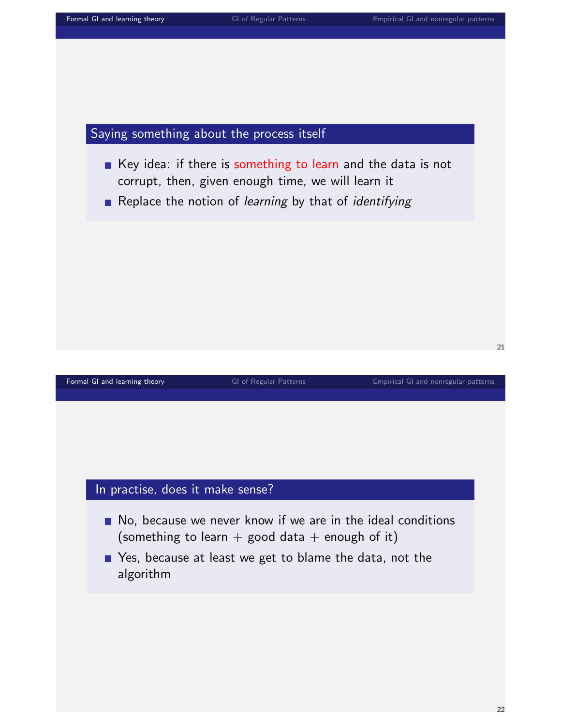#### Saying something about the process itself

- Key idea: if there is something to learn and the data is not corrupt, then, given enough time, we will learn it
- Replace the notion of *learning* by that of *identifying*

#### [Formal GI and learning theory](#page-0-0) **[GI of Regular Patterns](#page-26-0)** [Empirical GI and nonregular patterns](#page-55-0) **Empirical GI** and nonregular patterns

## In practise, does it make sense?

- No, because we never know if we are in the ideal conditions (something to learn + good data + enough of it)
- Pes, because at least we get to blame the data, not the algorithm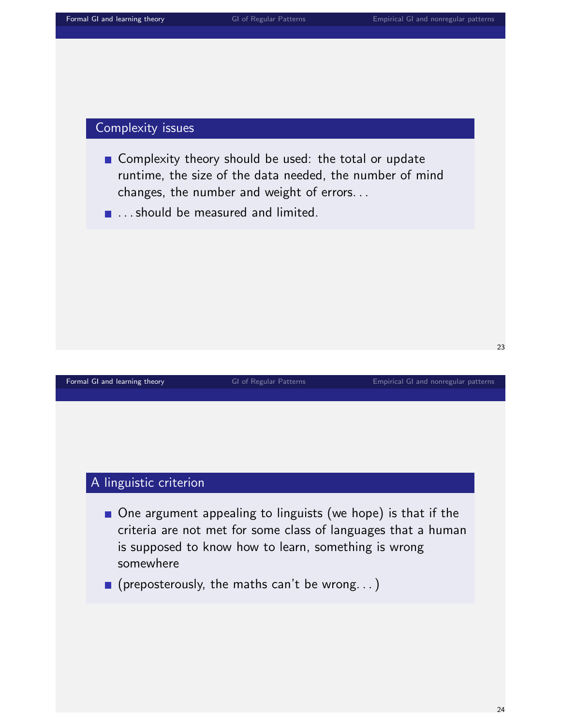#### Complexity issues

- Complexity theory should be used: the total or update runtime, the size of the data needed, the number of mind changes, the number and weight of errors. . .
- **...** should be measured and limited.

[Formal GI and learning theory](#page-0-0) **[GI of Regular Patterns](#page-26-0)** [Empirical GI and nonregular patterns](#page-55-0) **Empirical GI** and nonregular patterns

23

#### A linguistic criterion

- One argument appealing to linguists (we hope) is that if the criteria are not met for some class of languages that a human is supposed to know how to learn, something is wrong somewhere
- $\blacksquare$  (preposterously, the maths can't be wrong...)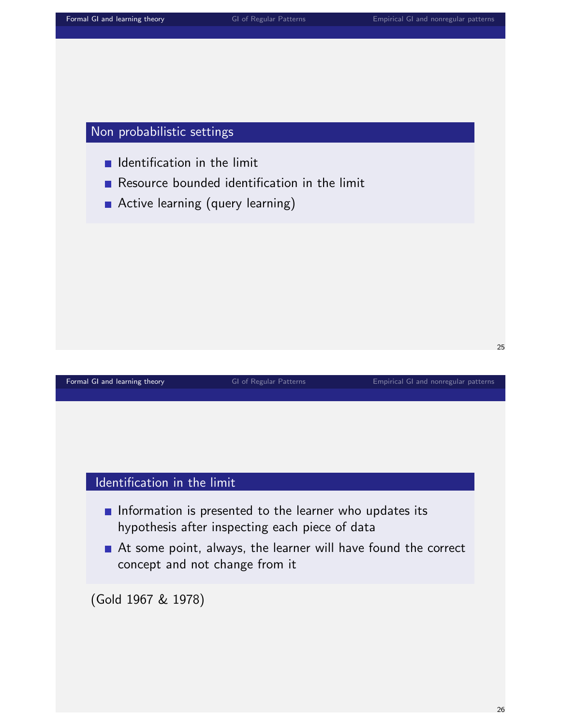#### Non probabilistic settings

- $\blacksquare$  Identification in the limit
- Resource bounded identification in the limit
- **Active learning (query learning)**

[Formal GI and learning theory](#page-0-0) **[GI of Regular Patterns](#page-26-0)** [Empirical GI and nonregular patterns](#page-55-0) **Empirical GI** and nonregular patterns

#### Identification in the limit

- Information is presented to the learner who updates its hypothesis after inspecting each piece of data
- At some point, always, the learner will have found the correct concept and not change from it

(Gold 1967 & 1978)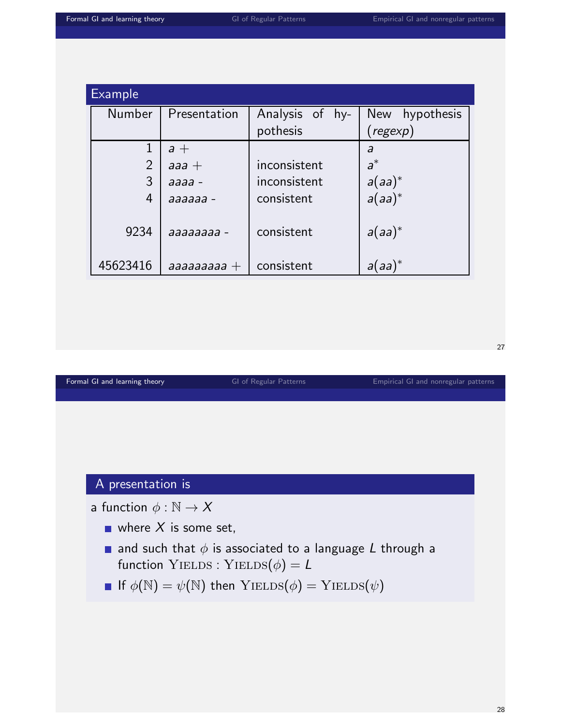| <b>Example</b> |              |                 |                     |
|----------------|--------------|-----------------|---------------------|
| <b>Number</b>  | Presentation | Analysis of hy- | New<br>hypothesis   |
|                |              | pothesis        | $(\mathit{regexp})$ |
| $\mathbf{1}$   | $a +$        |                 | a                   |
| $\overline{2}$ | $a$ aa $+$   | inconsistent    | $a^*$               |
| 3              | $a$ aaa -    | inconsistent    | $a(aa)^*$           |
| 4              | aaaaaa -     | consistent      | $a(aa)^*$           |
| 9234           | aaaaaaaa -   | consistent      | $a(aa)^*$           |
| 45623416       | аааааааа $+$ | consistent      | al aa'              |

[Formal GI and learning theory](#page-0-0) **[GI of Regular Patterns](#page-26-0)** [Empirical GI and nonregular patterns](#page-55-0) **Empirical GI** and nonregular patterns

27

### A presentation is

- a function  $\phi : \mathbb{N} \to X$ 
	- where  $X$  is some set,
	- and such that  $\phi$  is associated to a language L through a function YIELDS : YIELDS $(\phi) = L$
	- If  $\phi(\mathbb{N}) = \psi(\mathbb{N})$  then  $Y$ IELDS $(\phi) = Y$ IELDS $(\psi)$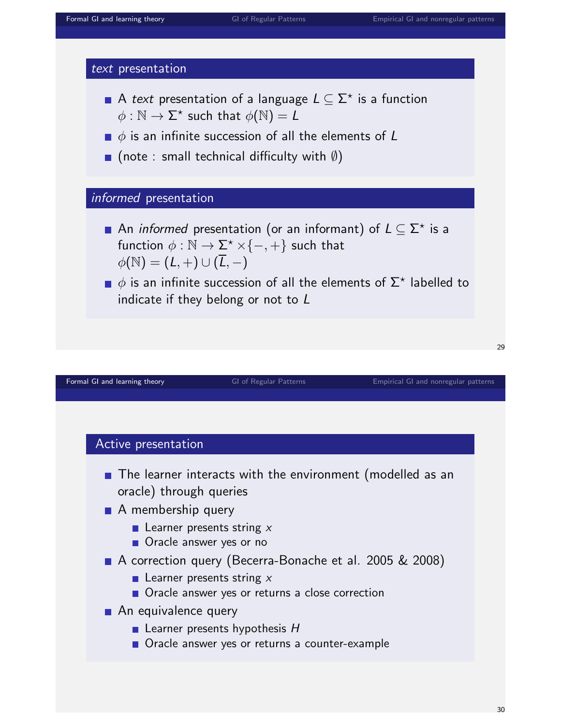



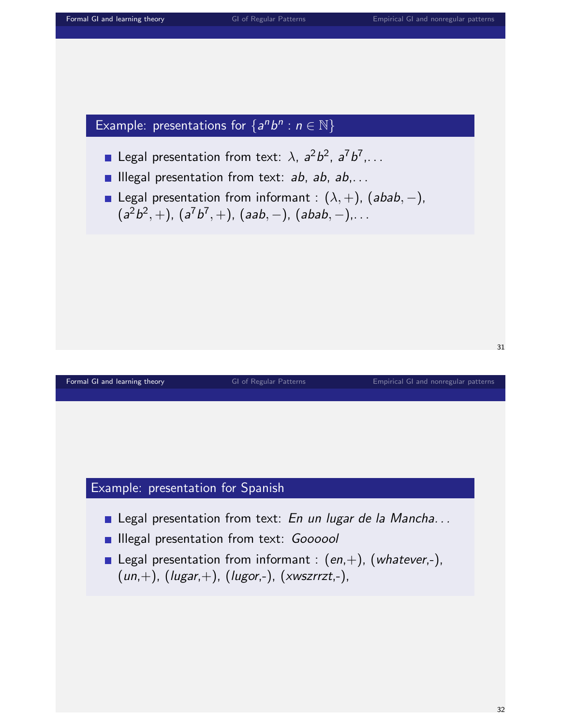## Example: presentations for  $\{a^n b^n : n \in \mathbb{N}\}\$

- Legal presentation from text:  $\lambda$ ,  $a^2b^2$ ,  $a^7b^7$ ,...
- **Illegal presentation from text: ab, ab, ab,...**
- **■** Legal presentation from informant :  $(\lambda, +)$ ,  $(abab, -)$ ,  $(a^2b^2, +)$ ,  $(a^7b^7, +)$ ,  $(aab, -)$ ,  $(abab, -)$ ,...

[Formal GI and learning theory](#page-0-0) **[GI of Regular Patterns](#page-26-0)** [Empirical GI and nonregular patterns](#page-55-0) **Empirical GI** and nonregular patterns

#### Example: presentation for Spanish

- Legal presentation from text: En un lugar de la Mancha...
- **Illegal presentation from text: Goooool**
- **Legal presentation from informant :**  $(en, +)$ ,  $(whatever, -)$ ,  $(un,+)$ ,  $(lugar,+)$ ,  $(lugor,-)$ ,  $(xwszrrzt,-)$ ,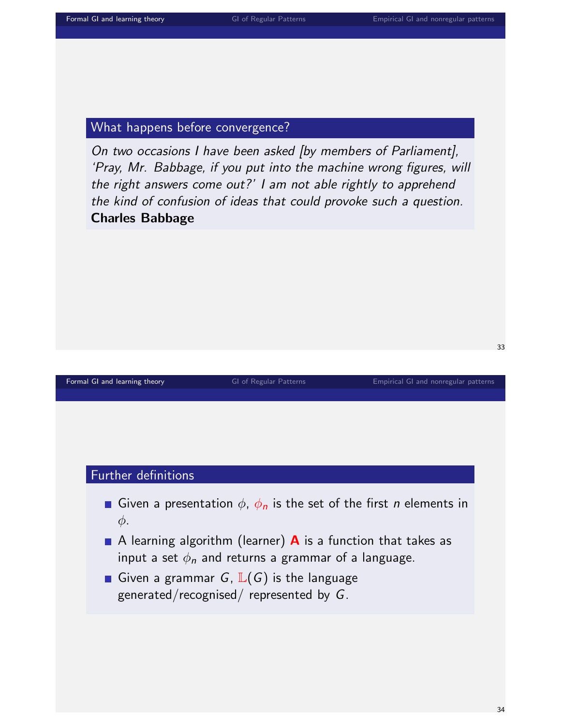#### What happens before convergence?

On two occasions I have been asked [by members of Parliament], 'Pray, Mr. Babbage, if you put into the machine wrong figures, will the right answers come out?' I am not able rightly to apprehend the kind of confusion of ideas that could provoke such a question. Charles Babbage

#### [Formal GI and learning theory](#page-0-0) **[GI of Regular Patterns](#page-26-0)** [Empirical GI and nonregular patterns](#page-55-0) **Empirical GI** and nonregular patterns

# Further definitions

- Given a presentation  $\phi$ ,  $\phi_n$  is the set of the first *n* elements in φ.
- A learning algorithm (learner)  $\bf{A}$  is a function that takes as input a set  $\phi_n$  and returns a grammar of a language.
- Given a grammar G,  $\mathbb{L}(G)$  is the language generated/recognised/ represented by G.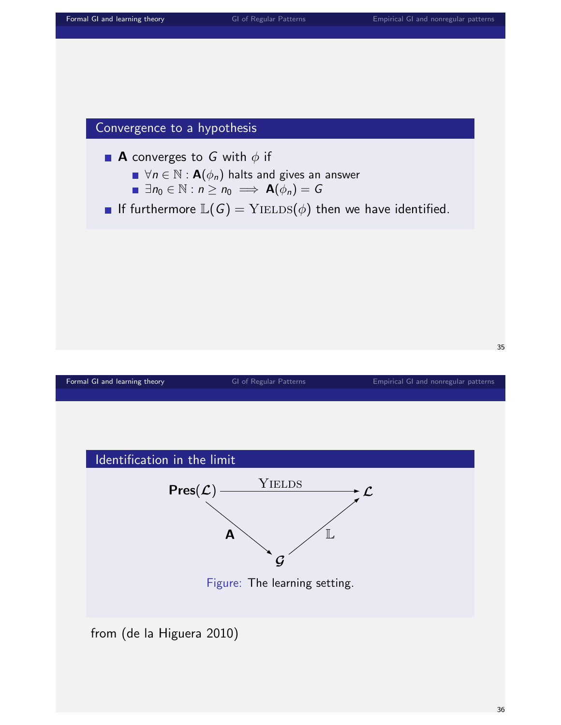



**A** converges to G with  $\phi$  if

- $\blacksquare \ \forall n \in \mathbb{N} : \mathsf{A}(\phi_n)$  halts and gives an answer
- $\blacksquare \exists n_0 \in \mathbb{N} : n \geq n_0 \implies \mathbf{A}(\phi_n) = G$
- If furthermore  $\mathbb{L}(G) = \mathrm{YIELDS}(\phi)$  then we have identified.



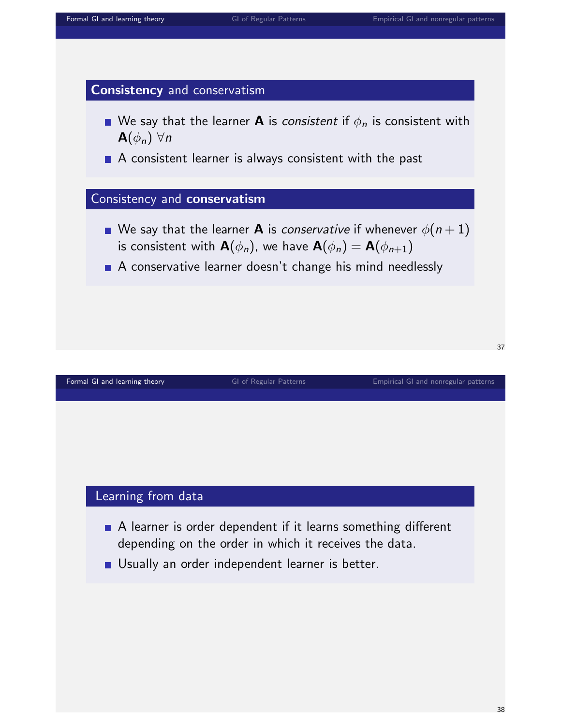

- We say that the learner **A** is *consistent* if  $\phi_n$  is consistent with  $\mathbf{A}(\phi_n)$   $\forall n$
- A consistent learner is always consistent with the past

#### Consistency and conservatism

- We say that the learner **A** is *conservative* if whenever  $\phi(n+1)$ is consistent with  $\mathbf{A}(\phi_n)$ , we have  $\mathbf{A}(\phi_n) = \mathbf{A}(\phi_{n+1})$
- A conservative learner doesn't change his mind needlessly

[Formal GI and learning theory](#page-0-0) **[GI of Regular Patterns](#page-26-0)** [Empirical GI and nonregular patterns](#page-55-0) **Empirical GI** and nonregular patterns

#### Learning from data

- A learner is order dependent if it learns something different depending on the order in which it receives the data.
- Usually an order independent learner is better.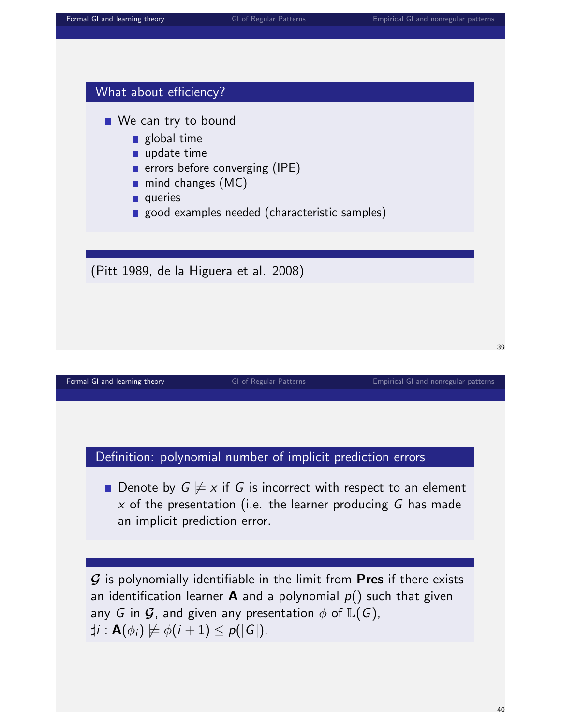

any G in  $\mathcal G$ , and given any presentation  $\phi$  of  $\mathbb L(G)$ ,  $\sharp i : \mathbf{A}(\phi_i) \not\models \phi(i + 1) \leq p(|\mathbf{G}|).$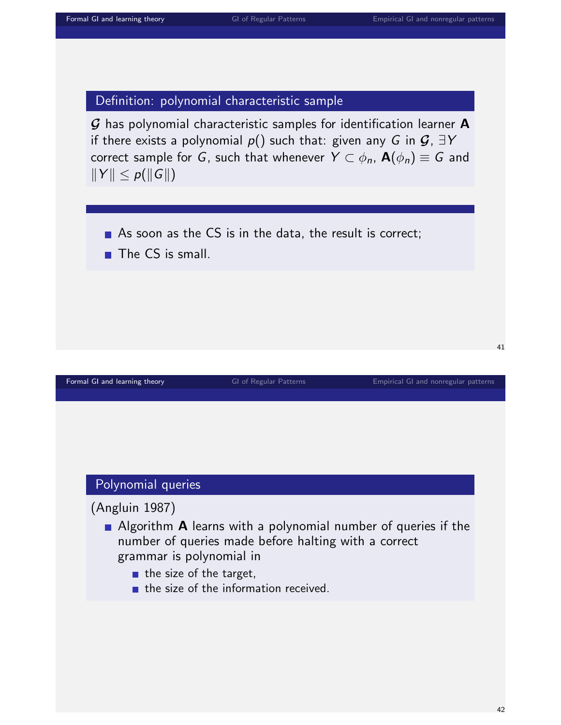#### Definition: polynomial characteristic sample

 $G$  has polynomial characteristic samples for identification learner  $A$ if there exists a polynomial  $p()$  such that: given any G in  $\mathcal{G}, \exists Y$ correct sample for G, such that whenever  $Y \subset \phi_n$ ,  $\mathbf{A}(\phi_n) \equiv G$  and  $||Y|| \leq p(||G||)$ 

- As soon as the  $CS$  is in the data, the result is correct;
- $\blacksquare$  The CS is small.

#### [Formal GI and learning theory](#page-0-0) **[GI of Regular Patterns](#page-26-0)** [Empirical GI and nonregular patterns](#page-55-0) **Empirical GI** and nonregular patterns

#### Polynomial queries

(Angluin 1987)

- Algorithm **A** learns with a polynomial number of queries if the number of queries made before halting with a correct grammar is polynomial in
	- $\blacksquare$  the size of the target,
	- $\blacksquare$  the size of the information received.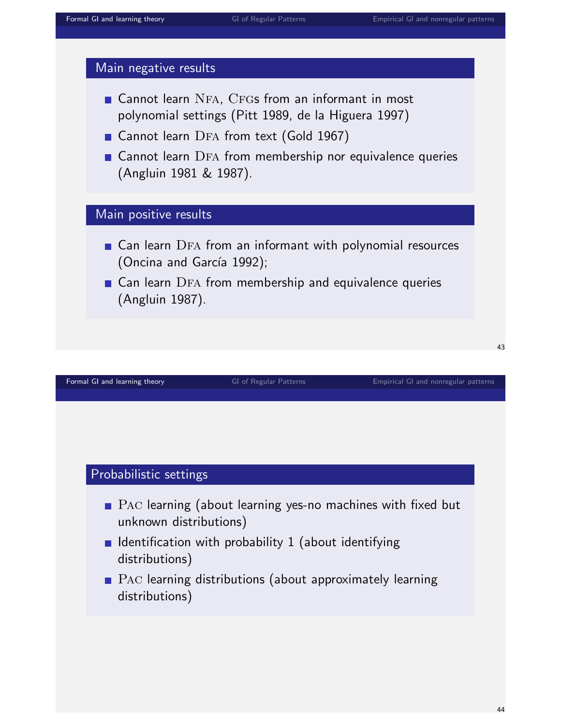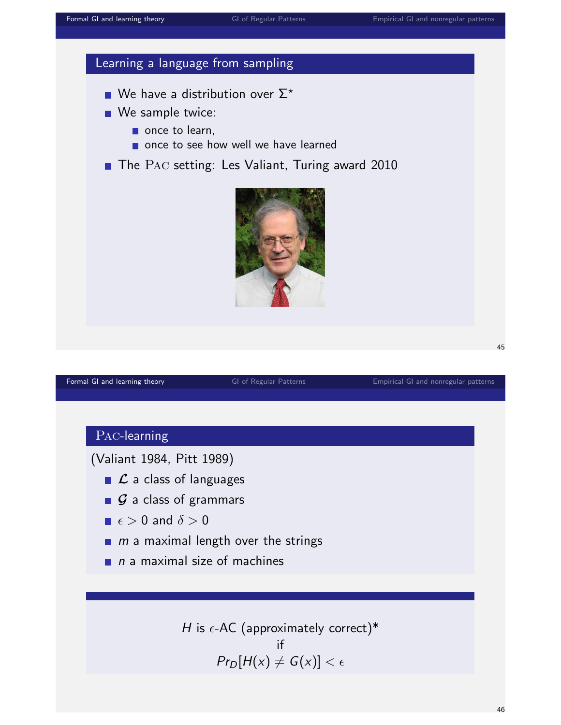## Learning a language from sampling

- We have a distribution over  $\Sigma^*$
- We sample twice:
	- $\blacksquare$  once to learn,
	- once to see how well we have learned
- The PAC setting: Les Valiant, Turing award 2010



[Formal GI and learning theory](#page-0-0) **[GI of Regular Patterns](#page-26-0)** [Empirical GI and nonregular patterns](#page-55-0) **Empirical GI** and nonregular patterns

45

#### Pac-learning

(Valiant 1984, Pitt 1989)

- $\Box$   $\mathcal{L}$  a class of languages
- $\Box$   $\mathcal G$  a class of grammars
- $\blacksquare \epsilon > 0$  and  $\delta > 0$
- $m$  a maximal length over the strings
- $\Box$  n a maximal size of machines

H is  $\epsilon$ -AC (approximately correct)\* if  $Pr_D[H(x) \neq G(x)] < \epsilon$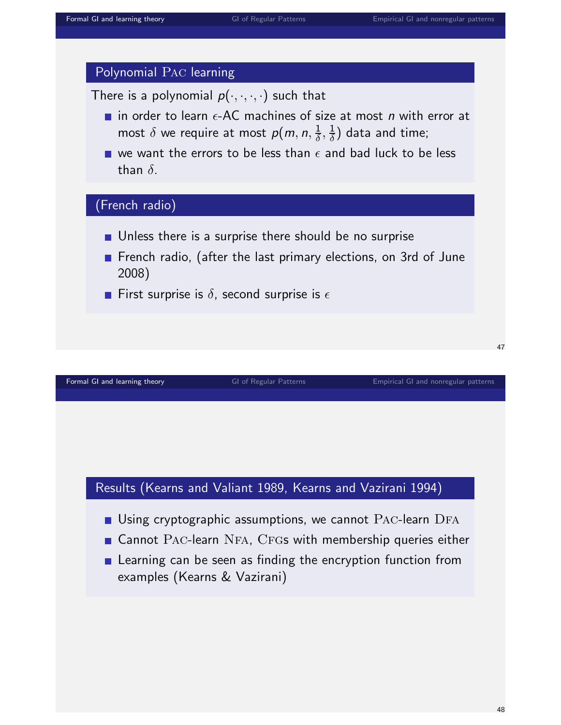

**E** Learning can be seen as finding the encryption function from examples (Kearns & Vazirani)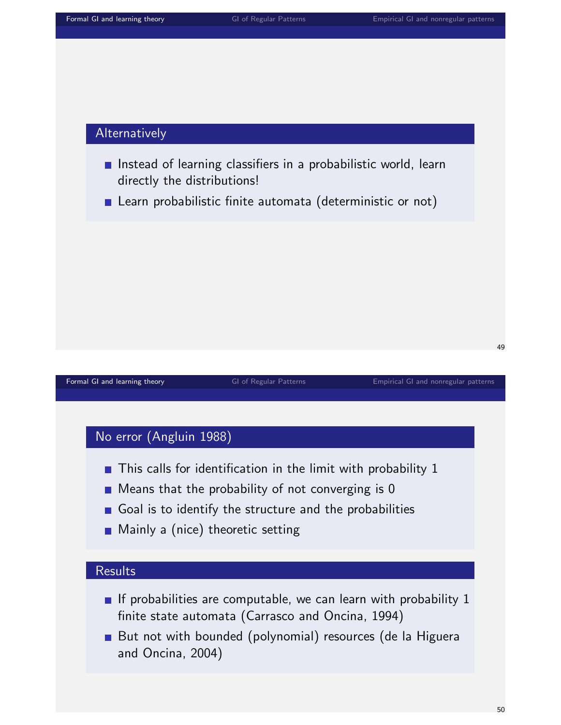#### Alternatively

- Instead of learning classifiers in a probabilistic world, learn directly the distributions!
- **E** Learn probabilistic finite automata (deterministic or not)

#### 49

[Formal GI and learning theory](#page-0-0) **[GI of Regular Patterns](#page-26-0)** [Empirical GI and nonregular patterns](#page-55-0) **Empirical GI and nonregular patterns** 

#### No error (Angluin 1988)

- $\blacksquare$  This calls for identification in the limit with probability 1
- $\blacksquare$  Means that the probability of not converging is 0
- Goal is to identify the structure and the probabilities
- **Mainly a (nice) theoretic setting**

#### **Results**

- If probabilities are computable, we can learn with probability  $1$ finite state automata (Carrasco and Oncina, 1994)
- But not with bounded (polynomial) resources (de la Higuera and Oncina, 2004)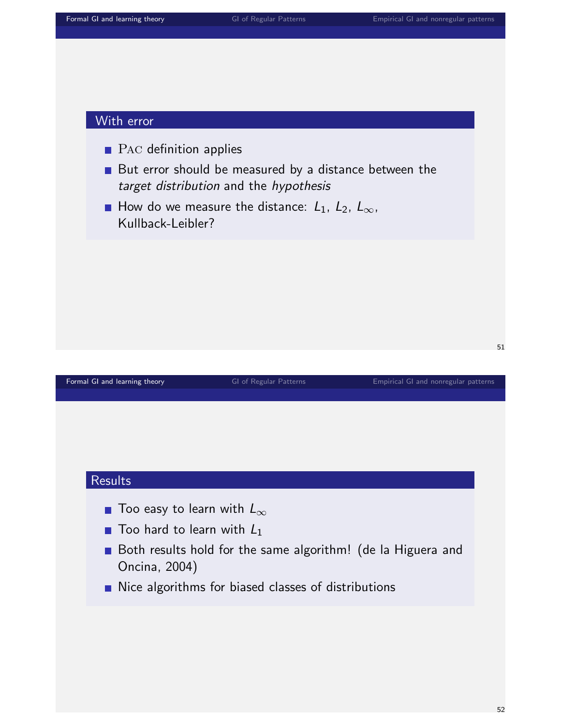- **PAC** definition applies
- But error should be measured by a distance between the target distribution and the hypothesis
- How do we measure the distance:  $L_1$ ,  $L_2$ ,  $L_{\infty}$ , Kullback-Leibler?

[Formal GI and learning theory](#page-0-0) **[GI of Regular Patterns](#page-26-0)** [Empirical GI and nonregular patterns](#page-55-0) **Empirical GI** and nonregular patterns

51

#### **Results**

- Too easy to learn with  $L_{\infty}$
- $\blacksquare$  Too hard to learn with  $L_1$
- Both results hold for the same algorithm! (de la Higuera and Oncina, 2004)
- Nice algorithms for biased classes of distributions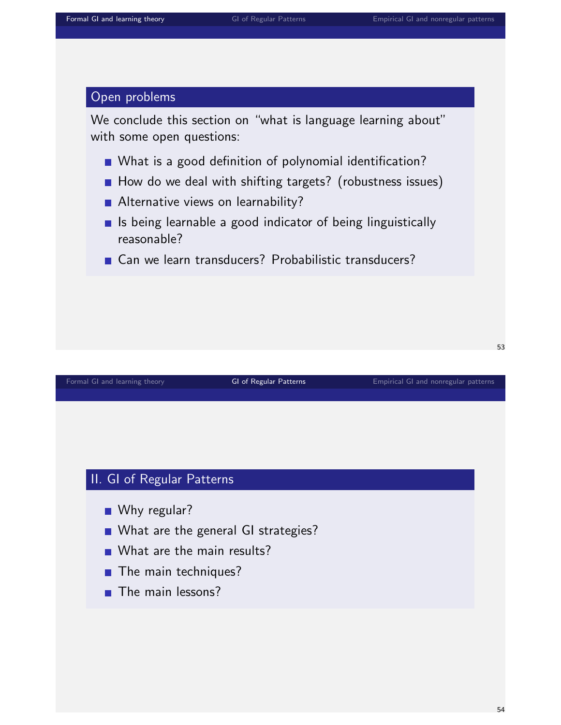#### Open problems

We conclude this section on "what is language learning about" with some open questions:

- What is a good definition of polynomial identification?
- How do we deal with shifting targets? (robustness issues)
- Alternative views on learnability?
- $\blacksquare$  Is being learnable a good indicator of being linguistically reasonable?
- Can we learn transducers? Probabilistic transducers?

#### [Formal GI and learning theory](#page-0-0) [GI of Regular Patterns](#page-26-0) [Empirical GI and nonregular patterns](#page-55-0)

#### II. GI of Regular Patterns

- Why regular?
- What are the general GI strategies?
- What are the main results?
- **The main techniques?**
- <span id="page-26-0"></span> $\blacksquare$  The main lessons?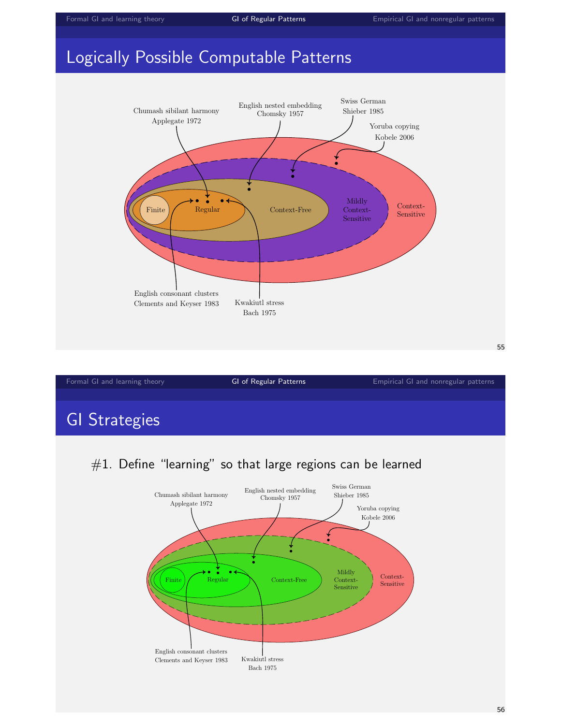# Logically Possible Computable Patterns



| Formal GI and learning theory | <b>GI of Regular Patterns</b> | Empirical GI and nonregular patterns |
|-------------------------------|-------------------------------|--------------------------------------|
|                               |                               |                                      |
| $\cap$ $\cap$ $\cap$          |                               |                                      |

# GI Strategies

## $#1.$  Define "learning" so that large regions can be learned

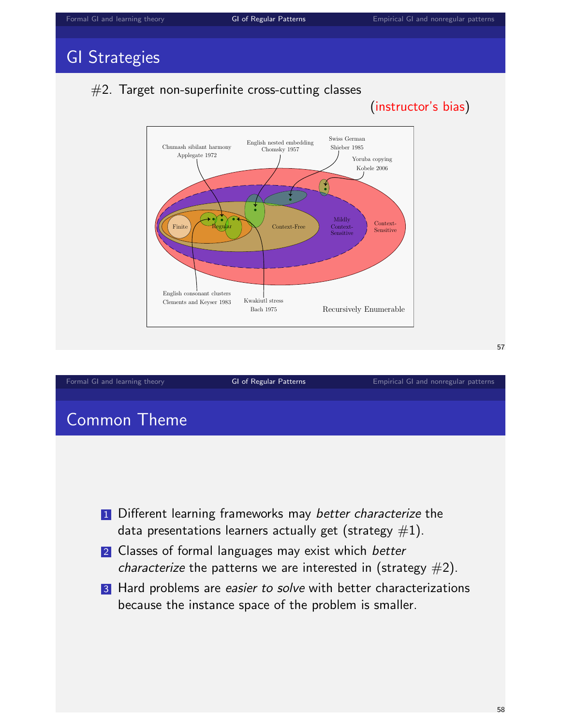# GI Strategies





3 Hard problems are easier to solve with better characterizations because the instance space of the problem is smaller.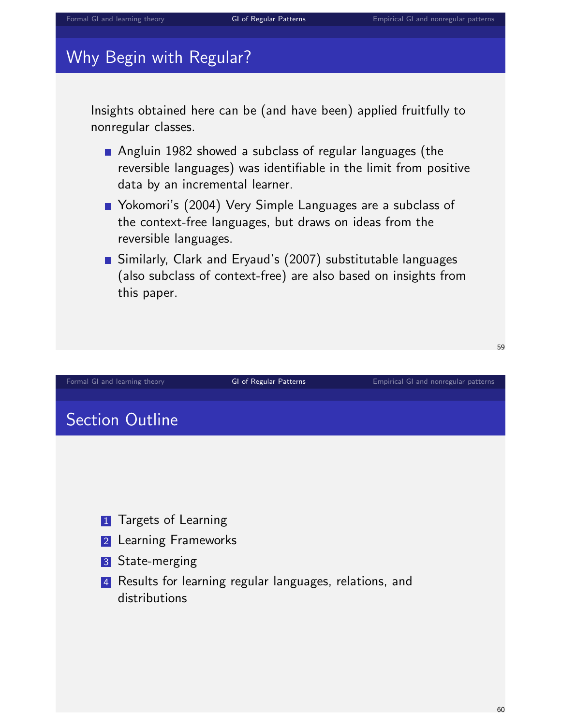## Why Begin with Regular?

Insights obtained here can be (and have been) applied fruitfully to nonregular classes.

- Angluin 1982 showed a subclass of regular languages (the reversible languages) was identifiable in the limit from positive data by an incremental learner.
- Yokomori's (2004) Very Simple Languages are a subclass of the context-free languages, but draws on ideas from the reversible languages.
- Similarly, Clark and Eryaud's (2007) substitutable languages (also subclass of context-free) are also based on insights from this paper.

[Formal GI and learning theory](#page-0-0) **[GI of Regular Patterns](#page-26-0)** [Empirical GI and nonregular patterns](#page-55-0)

# Section Outline

- **1** Targets of Learning
- 2 Learning Frameworks
- 3 State-merging
- 4 Results for learning regular languages, relations, and distributions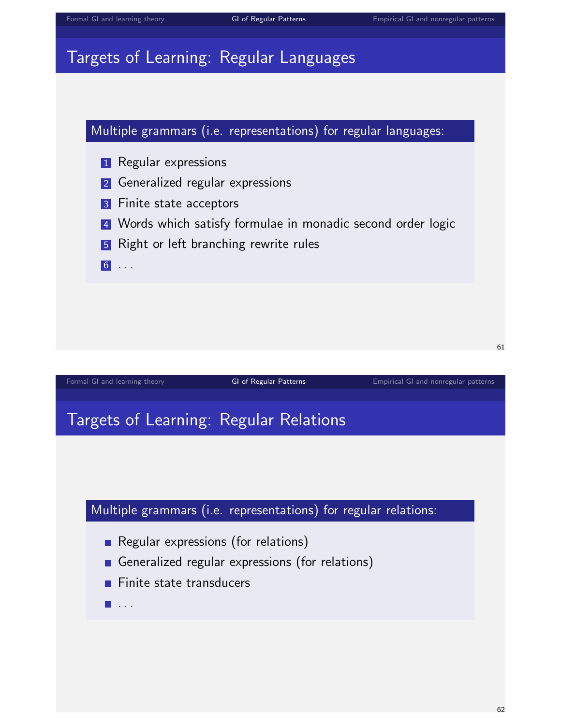# Targets of Learning: Regular Languages



# Targets of Learning: Regular Relations



- Regular expressions (for relations)
- Generalized regular expressions (for relations)
- $\blacksquare$  Finite state transducers
- $\blacksquare$  . . .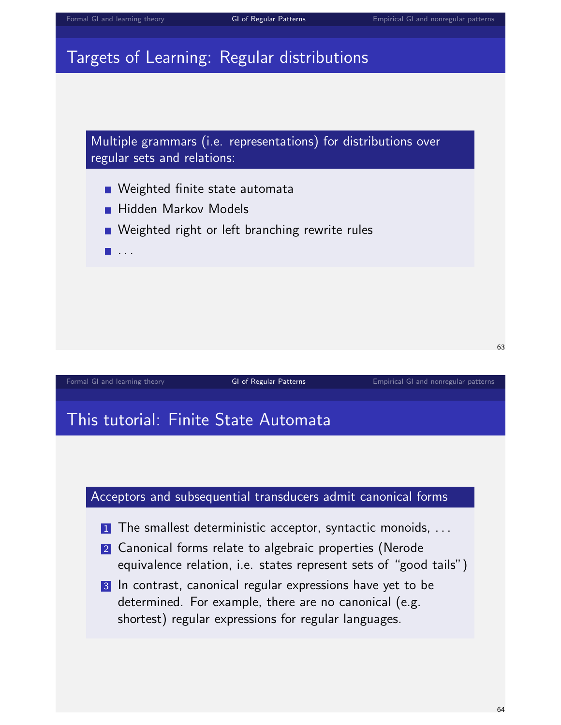# Targets of Learning: Regular distributions



- 2 Canonical forms relate to algebraic properties (Nerode equivalence relation, i.e. states represent sets of "good tails")
- 3 In contrast, canonical regular expressions have yet to be determined. For example, there are no canonical (e.g. shortest) regular expressions for regular languages.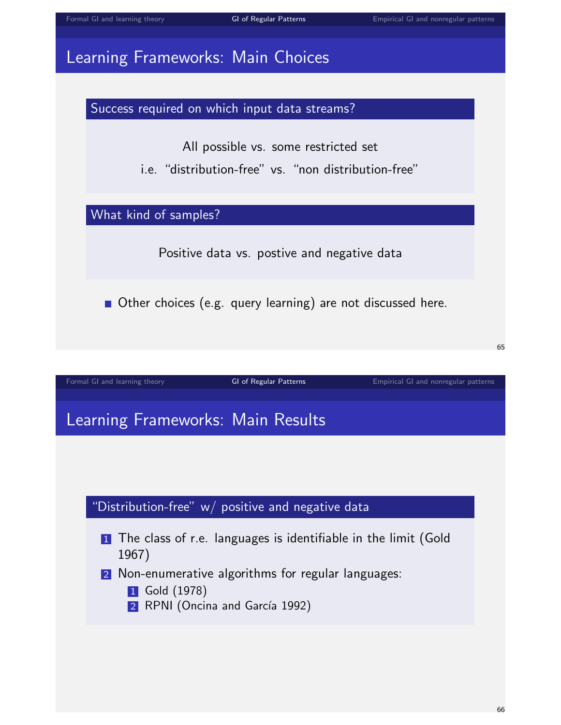



Success required on which input data streams?

All possible vs. some restricted set

i.e. "distribution-free" vs. "non distribution-free"

What kind of samples?

Positive data vs. postive and negative data

■ Other choices (e.g. query learning) are not discussed here.

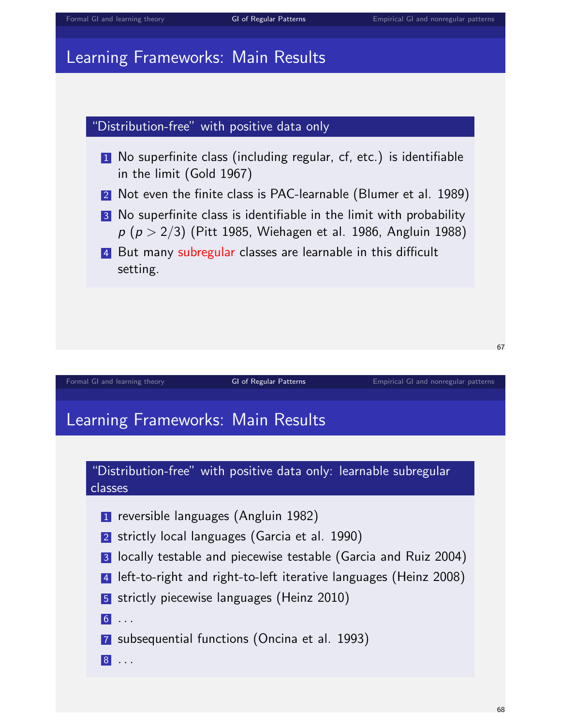# Learning Frameworks: Main Results

#### "Distribution-free" with positive data only

- 1 No superfinite class (including regular, cf, etc.) is identifiable in the limit (Gold 1967)
- 2 Not even the finite class is PAC-learnable (Blumer et al. 1989)
- 3 No superfinite class is identifiable in the limit with probability  $p (p > 2/3)$  (Pitt 1985, Wiehagen et al. 1986, Angluin 1988)
- 4 But many subregular classes are learnable in this difficult setting.

[Formal GI and learning theory](#page-0-0) [GI of Regular Patterns](#page-26-0) [Empirical GI and nonregular patterns](#page-55-0) Empirical GI and nonregular patterns

# Learning Frameworks: Main Results

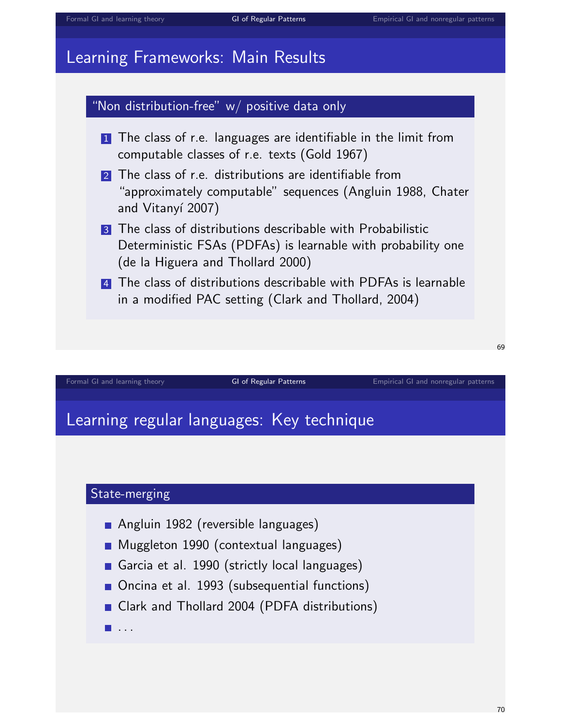# Learning Frameworks: Main Results



[Formal GI and learning theory](#page-0-0) [GI of Regular Patterns](#page-26-0) [Empirical GI and nonregular patterns](#page-55-0) Empirical GI and nonregular patterns

## Learning regular languages: Key technique



- Angluin 1982 (reversible languages)
- **Muggleton 1990 (contextual languages)**
- Garcia et al. 1990 (strictly local languages)
- Oncina et al. 1993 (subsequential functions)
- Clark and Thollard 2004 (PDFA distributions)
- $\blacksquare$  . . .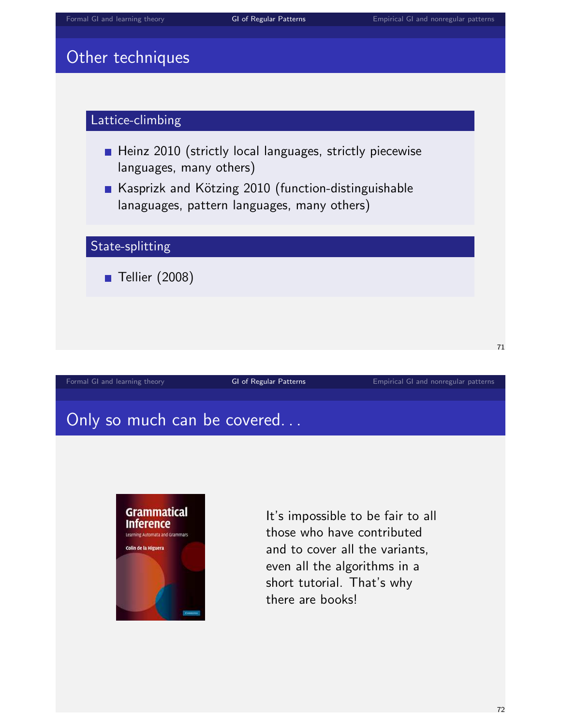# Other techniques



# Only so much can be covered...



It's impossible to be fair to all those who have contributed and to cover all the variants, even all the algorithms in a short tutorial. That's why there are books!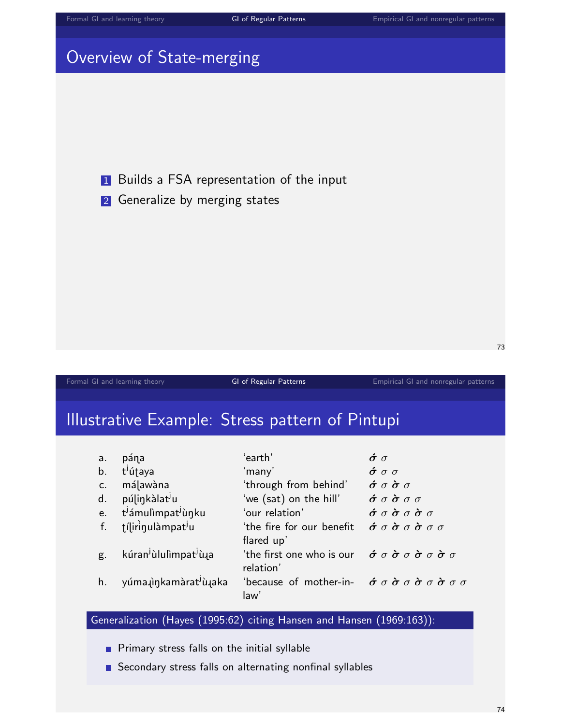# Overview of State-merging

**1** Builds a FSA representation of the input

2 Generalize by merging states

[Formal GI and learning theory](#page-0-0) **[GI of Regular Patterns](#page-26-0)** [Empirical GI and nonregular patterns](#page-55-0)

73

# Illustrative Example: Stress pattern of Pintupi

| a.             | pána                                                       | ʻearth'                                                                                                                 | $\dot{\sigma}$ $\sigma$                                                          |
|----------------|------------------------------------------------------------|-------------------------------------------------------------------------------------------------------------------------|----------------------------------------------------------------------------------|
| b.             | t <sup>j</sup> útaya                                       | 'many'                                                                                                                  | $\acute{\sigma}$ $\sigma$ $\sigma$                                               |
| C <sub>1</sub> | málawàna                                                   | 'through from behind'                                                                                                   | $\acute{\sigma}$ $\sigma$ $\grave{\sigma}$ $\sigma$                              |
| d.             | púlinkàlat <sup>j</sup> u                                  | 'we (sat) on the hill'                                                                                                  | $\dot{\sigma}$ $\sigma$ $\dot{\sigma}$ $\sigma$ $\sigma$                         |
| e.             | t <sup>j</sup> ámulìmpat <sup>j</sup> ùŋku                 | 'our relation'                                                                                                          | $\acute{\sigma}$ $\sigma$ $\grave{\sigma}$ $\sigma$ $\grave{\sigma}$ $\sigma$    |
| f.             | tílirinulàmpat <sup>j</sup> u                              | 'the fire for our benefit<br>flared up'                                                                                 | $\dot{\sigma}$ $\sigma$ $\dot{\sigma}$ $\sigma$ $\dot{\sigma}$ $\sigma$ $\sigma$ |
| g.             | kúran <sup>j</sup> ùlulìmpat <sup>j</sup> ù <sub>l</sub> a | 'the first one who is our $\phi \sigma \dot{\sigma} \sigma \dot{\sigma} \sigma \dot{\sigma} \sigma$<br>relation'        |                                                                                  |
| h.             | yúma in kamàrat <sup>j</sup> ù aka                         | 'because of mother-in- $\vec{\sigma} \sigma \vec{\sigma} \sigma \vec{\sigma} \sigma \vec{\sigma} \sigma \sigma$<br>law' |                                                                                  |

#### Generalization (Hayes (1995:62) citing Hansen and Hansen (1969:163)):

**Primary stress falls on the initial syllable** 

Secondary stress falls on alternating nonfinal syllables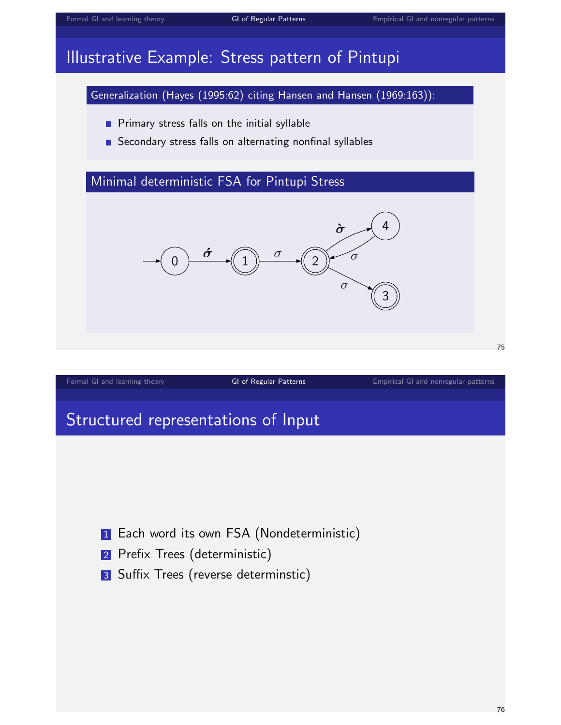# Illustrative Example: Stress pattern of Pintupi

Generalization (Hayes (1995:62) citing Hansen and Hansen (1969:163)):

- **Primary stress falls on the initial syllable**
- Secondary stress falls on alternating nonfinal syllables

## Minimal deterministic FSA for Pintupi Stress



[Formal GI and learning theory](#page-0-0) [GI of Regular Patterns](#page-26-0) [Empirical GI and nonregular patterns](#page-55-0)

75

# Structured representations of Input

- **1** Each word its own FSA (Nondeterministic)
- 2 Prefix Trees (deterministic)
- 3 Suffix Trees (reverse determinstic)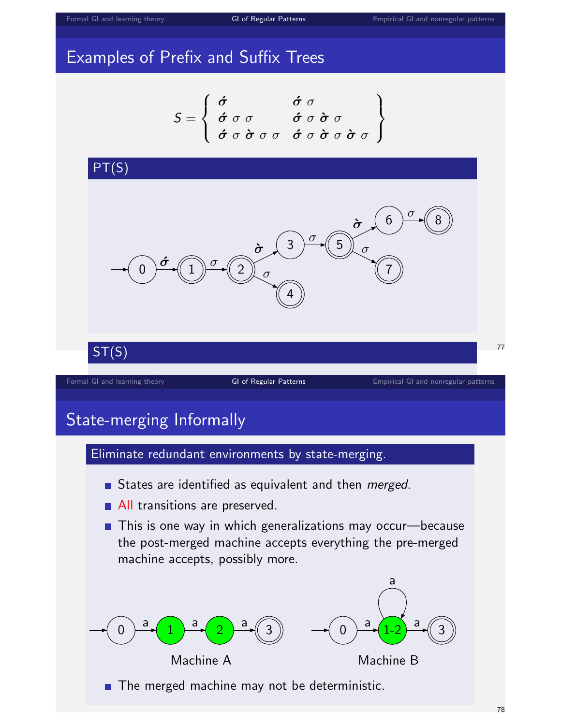# Examples of Prefix and Suffix Trees

$$
S = \left\{ \begin{array}{ll} \acute{\sigma} & \acute{\sigma} \ \sigma \\ \acute{\sigma} \ \sigma \ \sigma & \acute{\sigma} \ \sigma \ \grave{\sigma} \ \sigma \\ \acute{\sigma} \ \sigma \ \grave{\sigma} \ \sigma \ \sigma & \acute{\sigma} \ \sigma \ \grave{\sigma} \ \sigma \ \grave{\sigma} \ \sigma \end{array} \right\}
$$



- All transitions are preserved.
- This is one way in which generalizations may occur—because the post-merged machine accepts everything the pre-merged machine accepts, possibly more.

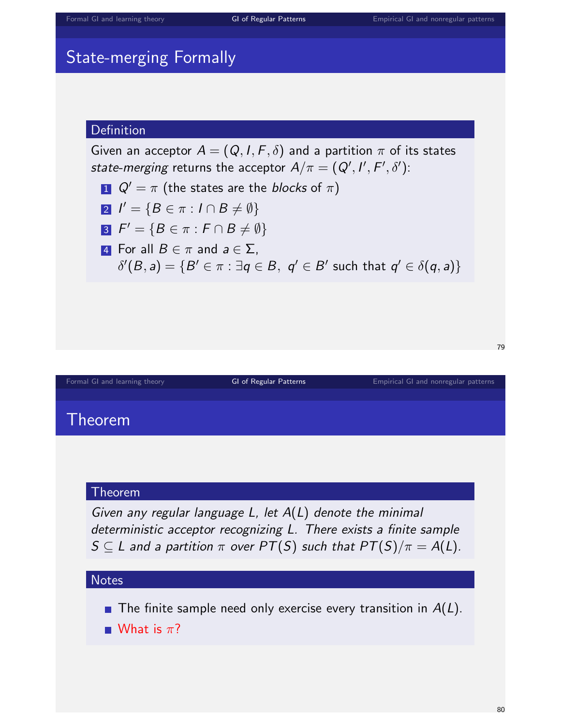# State-merging Formally

## Definition

Given an acceptor  $A = (Q, I, F, \delta)$  and a partition  $\pi$  of its states *state-merging* returns the acceptor  $A/\pi=(Q',I',F',\delta')$ :

1  $Q' = \pi$  (the states are the *blocks* of  $\pi$ )

$$
2 I' = \{ B \in \pi : I \cap B \neq \emptyset \}
$$

$$
S \mid F' = \{ B \in \pi : F \cap B \neq \emptyset \}
$$

**4** For all  $B \in \pi$  and  $a \in \Sigma$ ,  $\delta'(B,a) = \{B' \in \pi : \exists q \in B, \, q' \in B' \text{ such that } q' \in \delta(q,a)\}$ 

[Formal GI and learning theory](#page-0-0) **[GI of Regular Patterns](#page-26-0)** [Empirical GI and nonregular patterns](#page-55-0)

# Theorem

#### Theorem

Given any regular language  $L$ , let  $A(L)$  denote the minimal deterministic acceptor recognizing L. There exists a finite sample  $S \subseteq L$  and a partition  $\pi$  over  $PT(S)$  such that  $PT(S)/\pi = A(L)$ .

#### **Notes**

The finite sample need only exercise every transition in  $A(L)$ .

What is  $\pi$ ?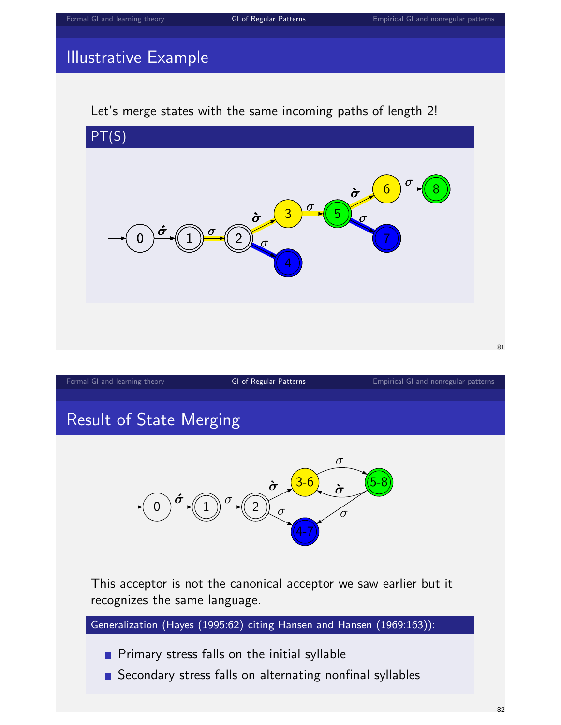# Illustrative Example

#### Let's merge states with the same incoming paths of length 2!



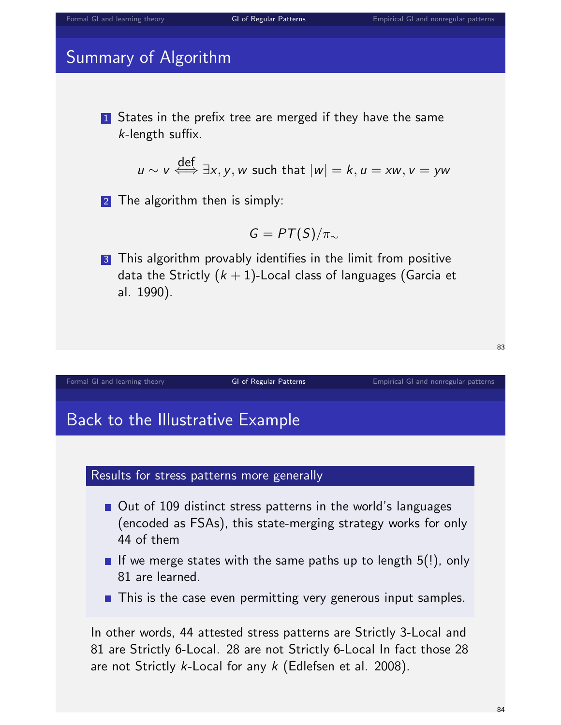# Summary of Algorithm

**1** States in the prefix tree are merged if they have the same k-length suffix.

$$
u \sim v \stackrel{\text{def}}{\iff} \exists x, y, w \text{ such that } |w| = k, u = xw, v = yw
$$

2 The algorithm then is simply:

$$
G=PT(S)/\pi_{\sim}
$$

3 This algorithm provably identifies in the limit from positive data the Strictly  $(k + 1)$ -Local class of languages (Garcia et al. 1990).

#### [Formal GI and learning theory](#page-0-0) [GI of Regular Patterns](#page-26-0) [Empirical GI and nonregular patterns](#page-55-0) Empirical GI and nonregular patterns

# Back to the Illustrative Example

# Results for stress patterns more generally

- Out of 109 distinct stress patterns in the world's languages (encoded as FSAs), this state-merging strategy works for only 44 of them
- If we merge states with the same paths up to length  $5(!)$ , only 81 are learned.
- $\blacksquare$  This is the case even permitting very generous input samples.

In other words, 44 attested stress patterns are Strictly 3-Local and 81 are Strictly 6-Local. 28 are not Strictly 6-Local In fact those 28 are not Strictly k-Local for any k (Edlefsen et al. 2008).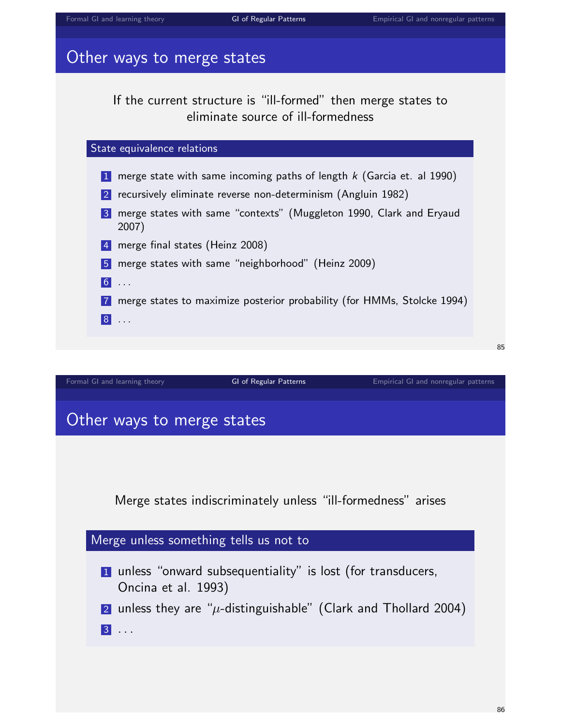# Other ways to merge states

If the current structure is "ill-formed" then merge states to eliminate source of ill-formedness



# Other ways to merge states

Merge states indiscriminately unless "ill-formedness" arises

[Formal GI and learning theory](#page-0-0) **[GI of Regular Patterns](#page-26-0)** [Empirical GI and nonregular patterns](#page-55-0)

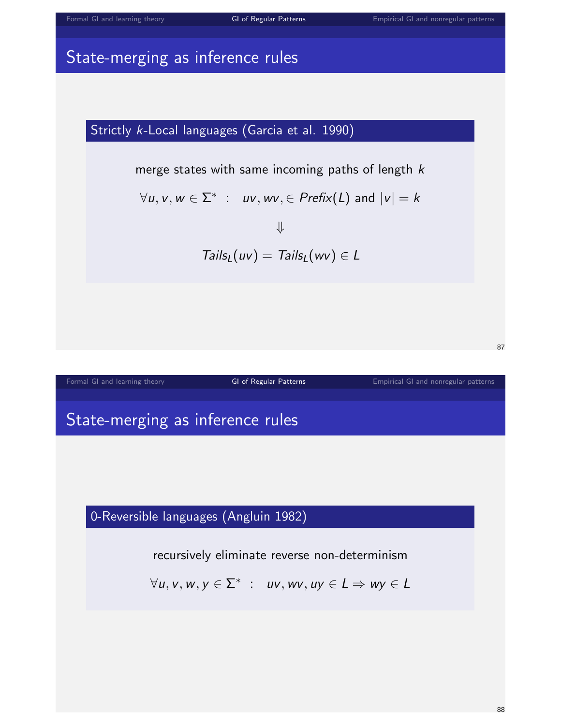# State-merging as inference rules

# Strictly k-Local languages (Garcia et al. 1990)

merge states with same incoming paths of length  $k$ 

$$
\forall u, v, w \in \Sigma^* \; : \; uv, wv, \in \text{Prefix}(L) \text{ and } |v| = k
$$

⇓  $Tails_L(uv) = Tails_L(wv) \in L$ 



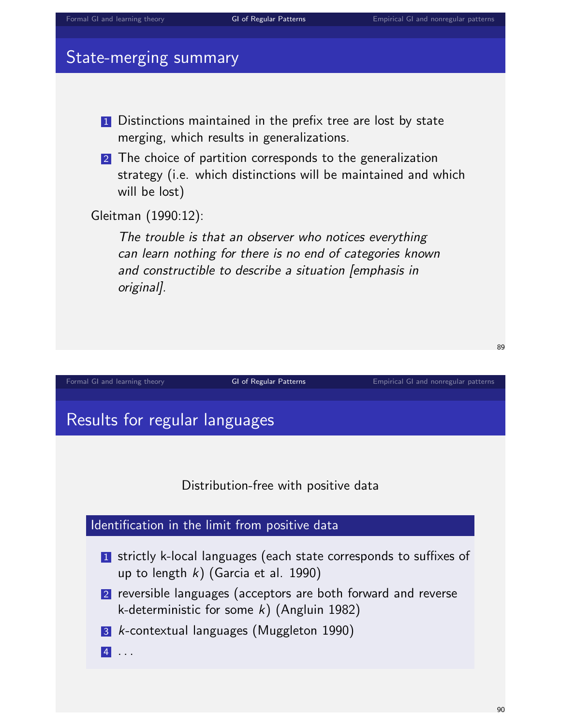# State-merging summary

- **1** Distinctions maintained in the prefix tree are lost by state merging, which results in generalizations.
- 2 The choice of partition corresponds to the generalization strategy (i.e. which distinctions will be maintained and which will be lost)

Gleitman (1990:12):

The trouble is that an observer who notices everything can learn nothing for there is no end of categories known and constructible to describe a situation [emphasis in original].

[Formal GI and learning theory](#page-0-0) [GI of Regular Patterns](#page-26-0) [Empirical GI and nonregular patterns](#page-55-0) Empirical GI and nonregular patterns

Results for regular languages

Distribution-free with positive data

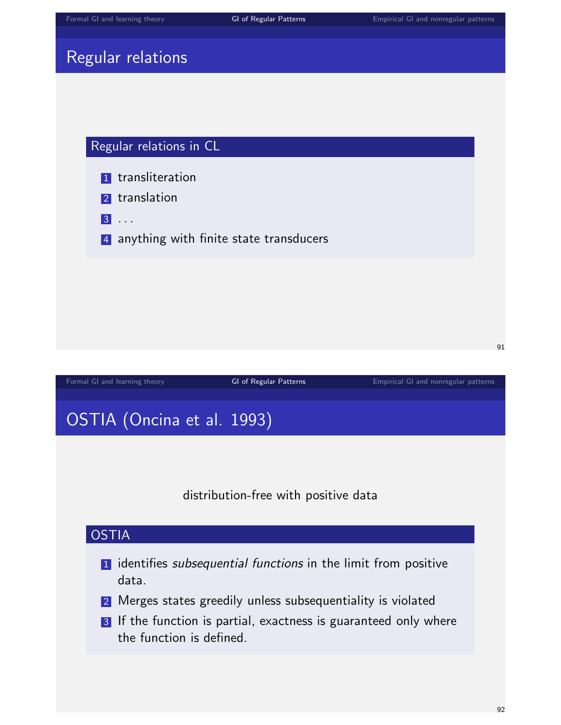# Regular relations

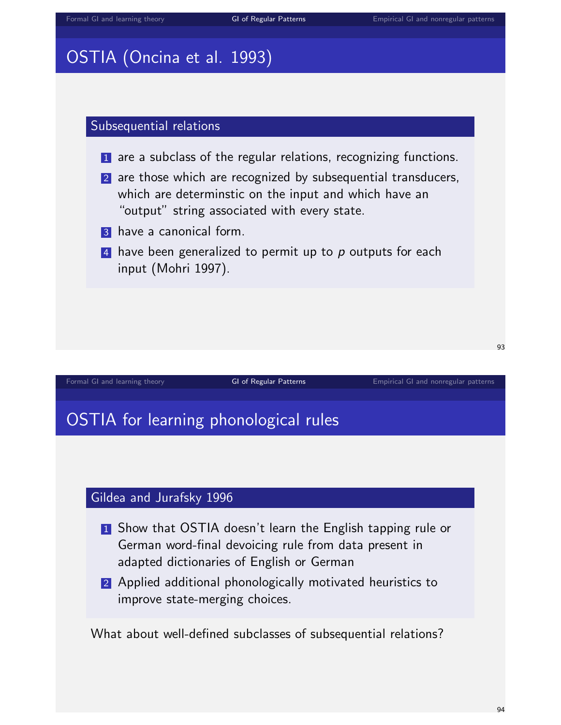# OSTIA (Oncina et al. 1993)

#### Subsequential relations

- 1 are a subclass of the regular relations, recognizing functions.
- 2 are those which are recognized by subsequential transducers, which are determinstic on the input and which have an "output" string associated with every state.
- **3** have a canonical form.
- 4 have been generalized to permit up to  $p$  outputs for each input (Mohri 1997).

#### [Formal GI and learning theory](#page-0-0) [GI of Regular Patterns](#page-26-0) [Empirical GI and nonregular patterns](#page-55-0)

# OSTIA for learning phonological rules

# Gildea and Jurafsky 1996

- **1** Show that OSTIA doesn't learn the English tapping rule or German word-final devoicing rule from data present in adapted dictionaries of English or German
- 2 Applied additional phonologically motivated heuristics to improve state-merging choices.

What about well-defined subclasses of subsequential relations?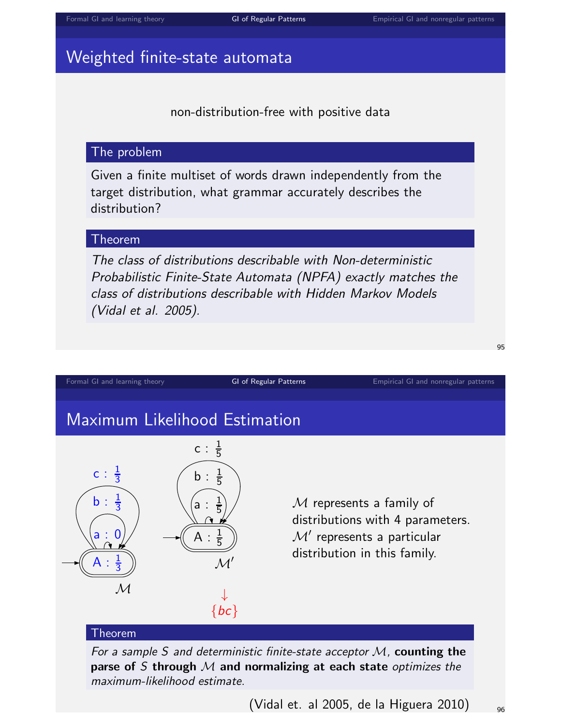# Weighted finite-state automata

non-distribution-free with positive data

## The problem

Given a finite multiset of words drawn independently from the target distribution, what grammar accurately describes the distribution?

#### Theorem

The class of distributions describable with Non-deterministic Probabilistic Finite-State Automata (NPFA) exactly matches the class of distributions describable with Hidden Markov Models (Vidal et al. 2005).



(Vidal et. al 2005, de la Higuera 2010)  $_{96}$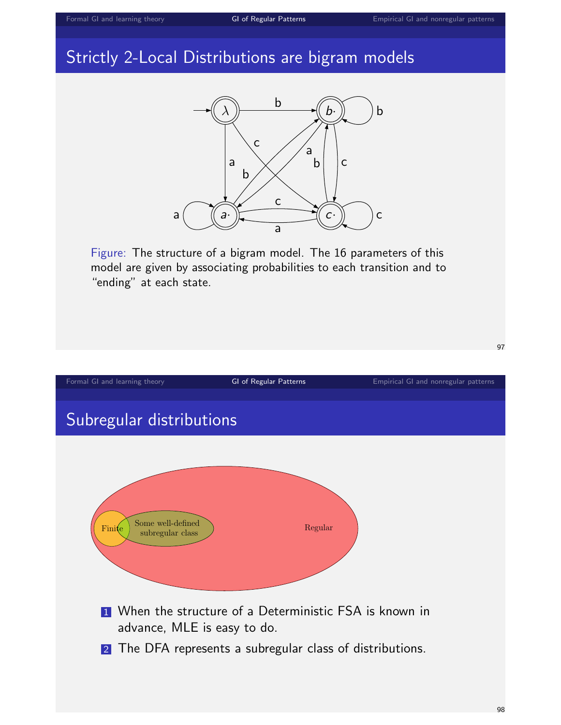# Strictly 2-Local Distributions are bigram models



Figure: The structure of a bigram model. The 16 parameters of this model are given by associating probabilities to each transition and to "ending" at each state.

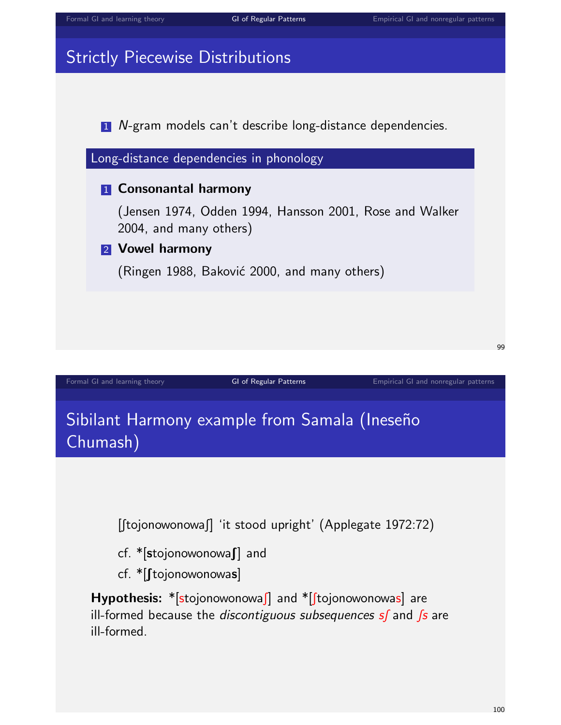# Strictly Piecewise Distributions

1 N-gram models can't describe long-distance dependencies.



Sibilant Harmony example from Samala (Ineseño Chumash)

 $[$ [tojonowonowa $]$  'it stood upright' (Applegate 1972:72)

- $cf.$  \*[stojonowonowa]] and
- $cf.$  \*[ $[fojonowonowas]$ ]

Hypothesis:  $*[sto]$  ionowonowas and  $*[to]$  ionowonowas are ill-formed because the *discontiguous subsequences*  $s$  and  $\beta s$  are ill-formed.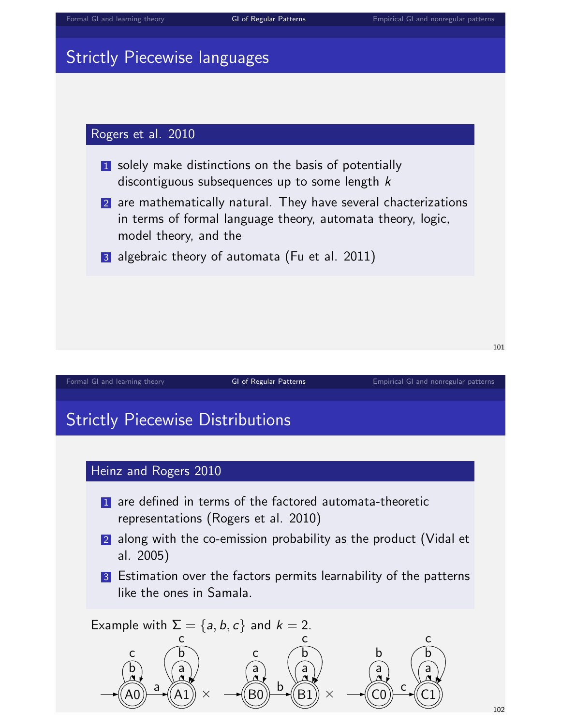# Strictly Piecewise languages

## Rogers et al. 2010

- **1** solely make distinctions on the basis of potentially discontiguous subsequences up to some length  $k$
- 2 are mathematically natural. They have several chacterizations in terms of formal language theory, automata theory, logic, model theory, and the
- 3 algebraic theory of automata (Fu et al. 2011)

[Formal GI and learning theory](#page-0-0) **[GI of Regular Patterns](#page-26-0)** [Empirical GI and nonregular patterns](#page-55-0)

# Strictly Piecewise Distributions



- **1** are defined in terms of the factored automata-theoretic representations (Rogers et al. 2010)
- 2 along with the co-emission probability as the product (Vidal et al. 2005)
- 3 Estimation over the factors permits learnability of the patterns like the ones in Samala.

Example with  $\Sigma = \{a, b, c\}$  and  $k = 2$ .  $\widehat{A0}$   $\rightarrow$   $\widehat{(A1)} \times$   $\rightarrow$   $\widehat{(B0)}$   $\rightarrow$   $\widehat{(B1)} \times$   $\rightarrow$   $\widehat{(C0)}$   $\stackrel{c}{\rightarrow}$   $\widehat{(C1)}$ a b c a b c a b c b c a c a b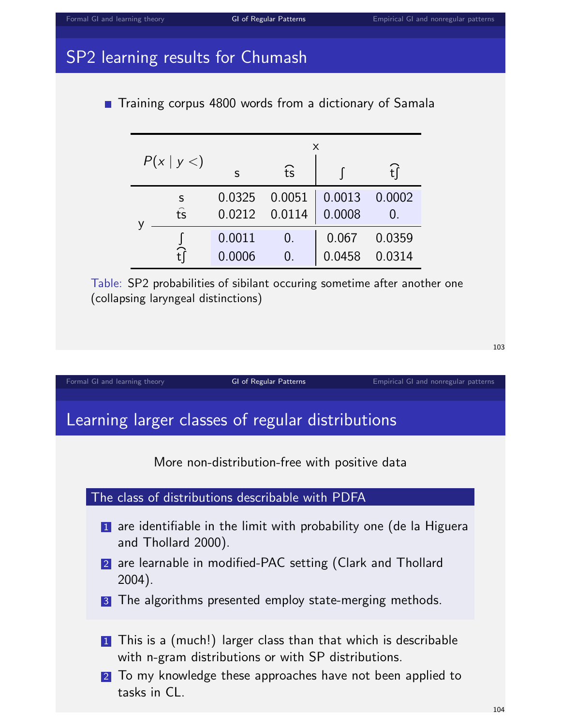# SP2 learning results for Chumash

**Training corpus 4800 words from a dictionary of Samala** 

| P(x   y <) |                         | X      |        |        |        |  |
|------------|-------------------------|--------|--------|--------|--------|--|
|            |                         | S      | fs     |        |        |  |
|            | S                       | 0.0325 | 0.0051 | 0.0013 | 0.0002 |  |
|            | $\widehat{\mathsf{ts}}$ | 0.0212 | 0.0114 | 0.0008 | 0.     |  |
|            |                         | 0.0011 |        | 0.067  | 0.0359 |  |
|            |                         | 0.0006 |        | 0.0458 | 0.0314 |  |

Table: SP2 probabilities of sibilant occuring sometime after another one (collapsing laryngeal distinctions)

[Formal GI and learning theory](#page-0-0) [GI of Regular Patterns](#page-26-0) [Empirical GI and nonregular patterns](#page-55-0) Empirical GI and nonregular patterns

# Learning larger classes of regular distributions

More non-distribution-free with positive data



- 1 are identifiable in the limit with probability one (de la Higuera and Thollard 2000).
- 2 are learnable in modified-PAC setting (Clark and Thollard 2004).

3 The algorithms presented employ state-merging methods.

- 1 This is a (much!) larger class than that which is describable with n-gram distributions or with SP distributions.
- 2 To my knowledge these approaches have not been applied to tasks in CL.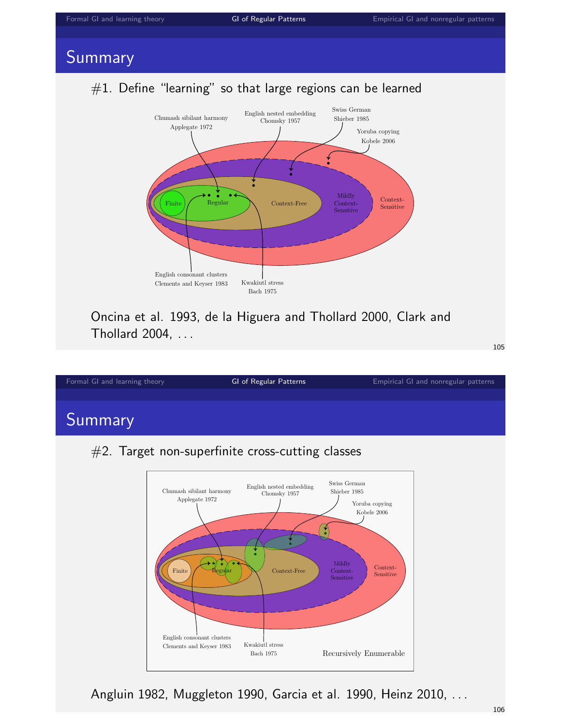# Summary

# $#1.$  Define "learning" so that large regions can be learned



Oncina et al. 1993, de la Higuera and Thollard 2000, Clark and Thollard 2004, . . .

105

#### [Formal GI and learning theory](#page-0-0) **[GI of Regular Patterns](#page-26-0)** [Empirical GI and nonregular patterns](#page-55-0) Summary #2. Target non-superfinite cross-cutting classes Swiss German English nested embedding Chumash sibilant harmony Shieber 1985 Chomsky 1957 Applegate 1972 Yoruba copying Kobele 2006 ́ ∱ Mildly Context- $\text{Finite}$   $\left\{\begin{array}{c} \bigcup_{\text{Regufar}} \begin{array}{c} \bigcup_{\text{Context-Free}} \end{array}\right\}$ Context-Sensitive Sensitive

Angluin 1982, Muggleton 1990, Garcia et al. 1990, Heinz 2010, . . .

Bach 1975

English consonant clusters

Clements and Keyser 1983 Kwakiutl stress

Recursively Enumerable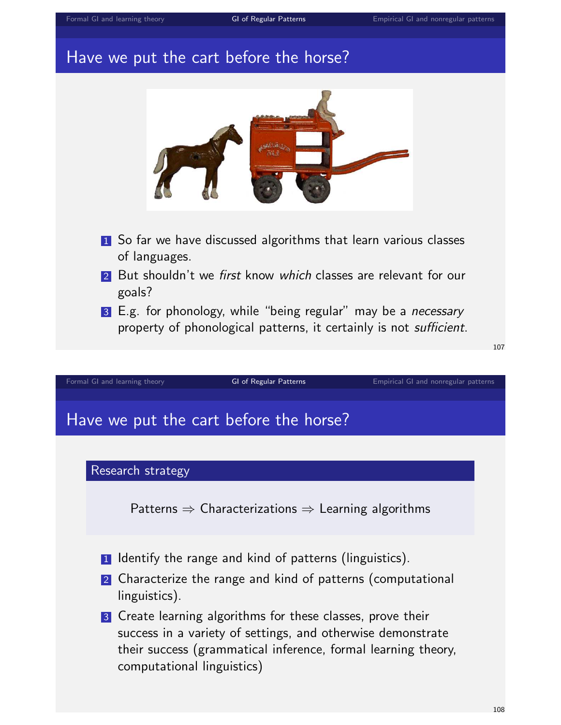# [Formal GI and learning theory](#page-0-0) **[GI of Regular Patterns](#page-26-0)** [Empirical GI and nonregular patterns](#page-55-0) Have we put the cart before the horse? **1** So far we have discussed algorithms that learn various classes of languages. 2 But shouldn't we first know which classes are relevant for our goals? 3 E.g. for phonology, while "being regular" may be a *necessary* property of phonological patterns, it certainly is not *sufficient*.

107

[Formal GI and learning theory](#page-0-0) **[GI of Regular Patterns](#page-26-0)** [Empirical GI and nonregular patterns](#page-55-0)

# Have we put the cart before the horse?

#### Research strategy

Patterns  $\Rightarrow$  Characterizations  $\Rightarrow$  Learning algorithms

- 1 Identify the range and kind of patterns (linguistics).
- 2 Characterize the range and kind of patterns (computational linguistics).
- 3 Create learning algorithms for these classes, prove their success in a variety of settings, and otherwise demonstrate their success (grammatical inference, formal learning theory, computational linguistics)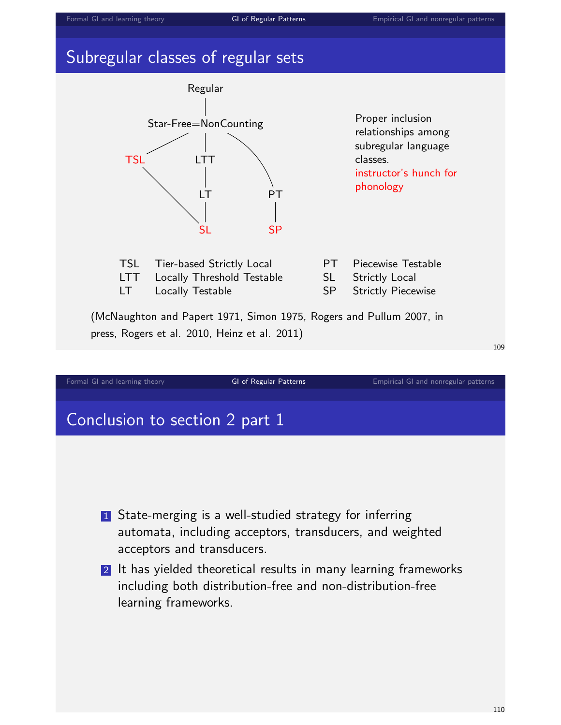# Subregular classes of regular sets



- 1 State-merging is a well-studied strategy for inferring automata, including acceptors, transducers, and weighted acceptors and transducers.
- 2 It has yielded theoretical results in many learning frameworks including both distribution-free and non-distribution-free learning frameworks.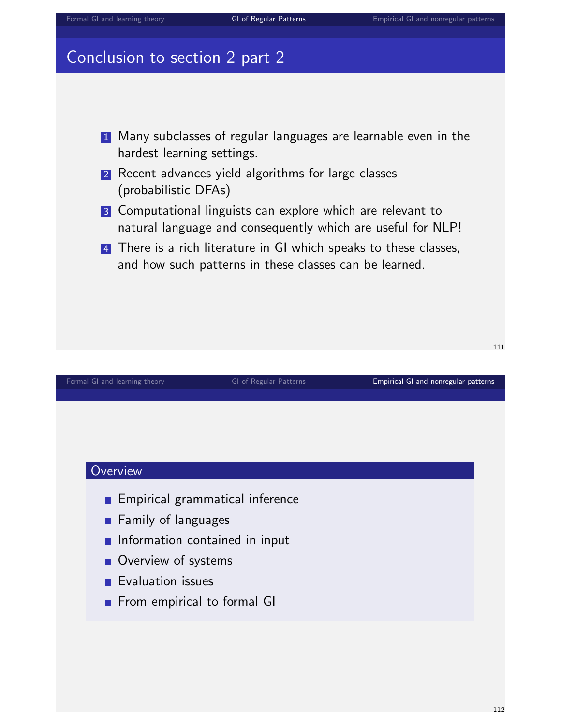# Conclusion to section 2 part 2



- 2 Recent advances yield algorithms for large classes (probabilistic DFAs)
- 3 Computational linguists can explore which are relevant to natural language and consequently which are useful for NLP!
- **4** There is a rich literature in GI which speaks to these classes, and how such patterns in these classes can be learned.

<span id="page-55-0"></span>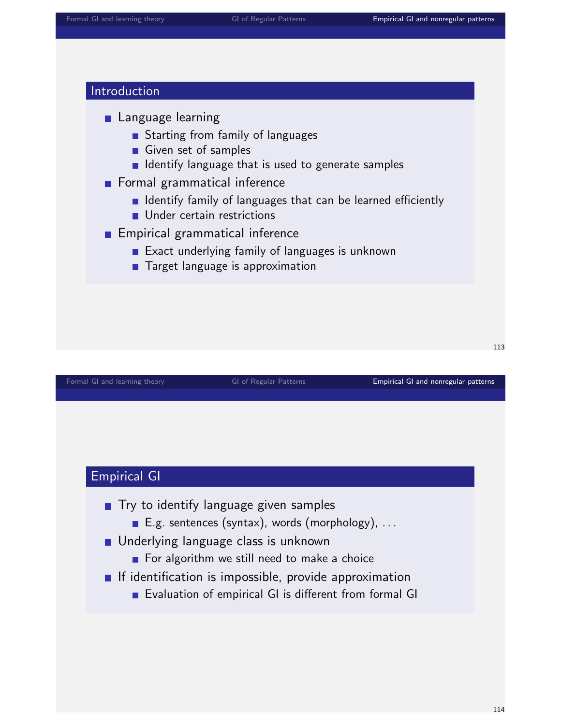#### Introduction

- **Language learning** 
	- Starting from family of languages
	- Given set of samples
	- **I** Identify language that is used to generate samples
- **Formal grammatical inference** 
	- **I** Identify family of languages that can be learned efficiently
	- **Under certain restrictions**
- **Empirical grammatical inference** 
	- **Exact underlying family of languages is unknown**
	- **Target language is approximation**

[Formal GI and learning theory](#page-0-0) **GI of Regular Patterns [Empirical GI and nonregular patterns](#page-55-0)** 

113

## Empirical GI

- **Try to identify language given samples** 
	- E.g. sentences (syntax), words (morphology), ...
- **Underlying language class is unknown** 
	- For algorithm we still need to make a choice
- $\blacksquare$  If identification is impossible, provide approximation
	- Evaluation of empirical GI is different from formal GI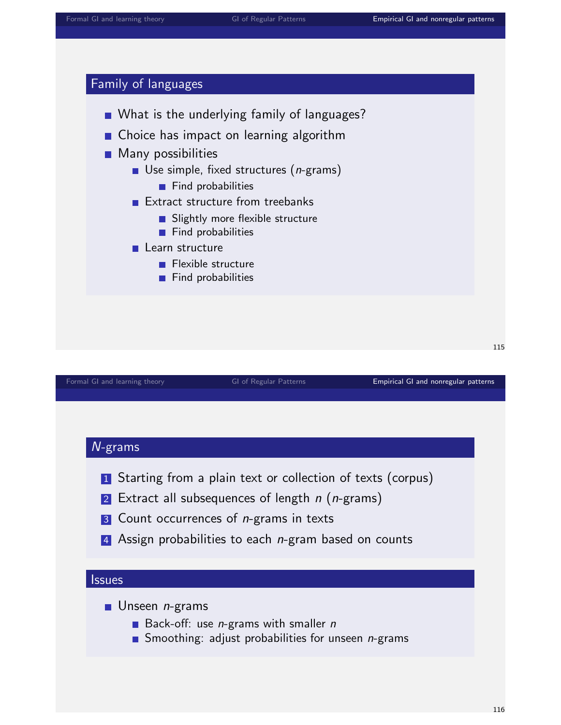## Family of languages



[Formal GI and learning theory](#page-0-0) **GI of Regular Patterns [Empirical GI and nonregular patterns](#page-55-0)** 

115

#### N-grams

- 1 Starting from a plain text or collection of texts (corpus)
- 2 Extract all subsequences of length  $n$  ( $n$ -grams)
- 3 Count occurrences of *n*-grams in texts
- 4 Assign probabilities to each *n*-gram based on counts

#### **Issues**

- $\blacksquare$  Unseen *n*-grams
	- Back-off: use  $n$ -grams with smaller  $n$
	- Smoothing: adjust probabilities for unseen *n*-grams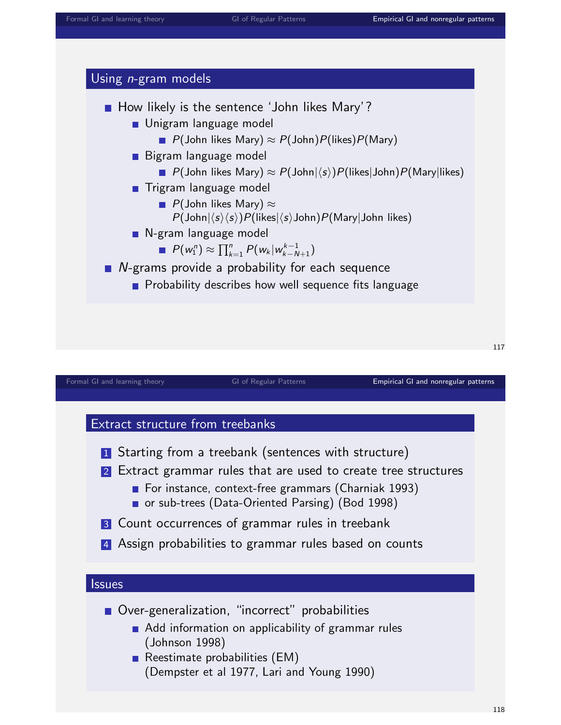



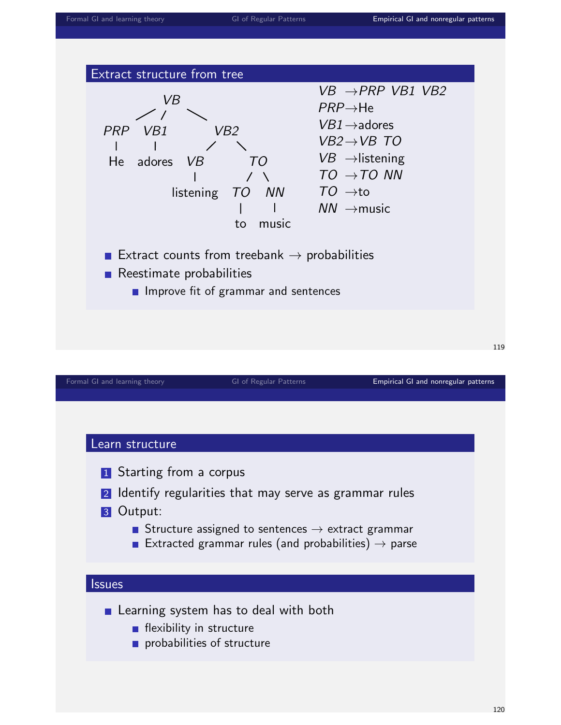

- **Learning system has to deal with both** 
	- $\blacksquare$  flexibility in structure
	- **probabilities of structure**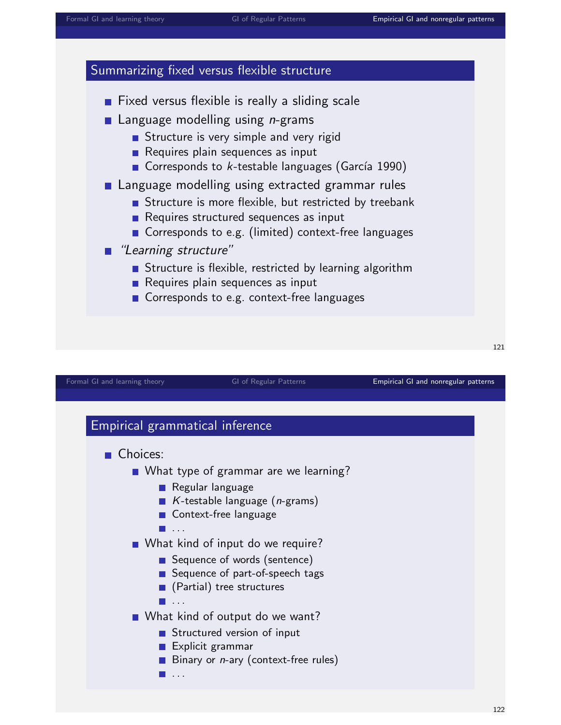



[Formal GI and learning theory](#page-0-0) **GI of Regular Patterns [Empirical GI and nonregular patterns](#page-55-0)**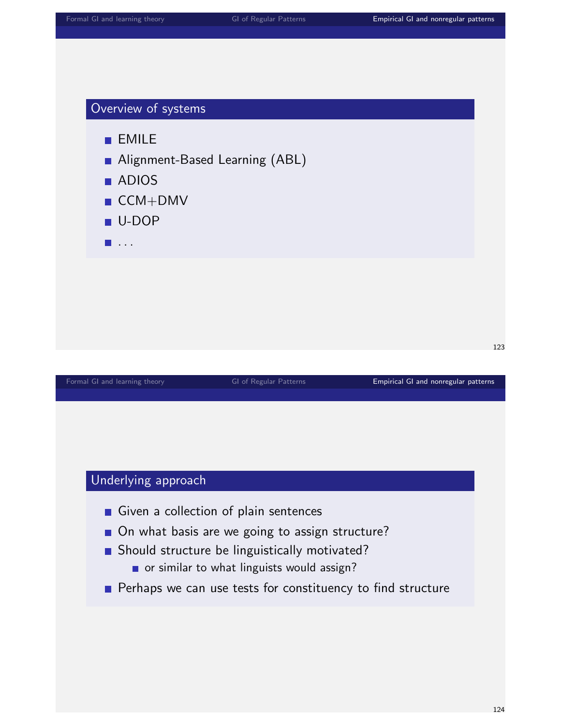## Overview of systems

**EMILE** 

- Alignment-Based Learning (ABL)
- **ADIOS**
- CCM+DMV
- U-DOP
- $\blacksquare$  . . .

#### [Formal GI and learning theory](#page-0-0) **GI of Regular Patterns** [Empirical GI and nonregular patterns](#page-55-0) **Empirical GI and nonregular patterns**

## Underlying approach

- Given a collection of plain sentences
- On what basis are we going to assign structure?
- Should structure be linguistically motivated?
	- or similar to what linguists would assign?
- **Perhaps we can use tests for constituency to find structure**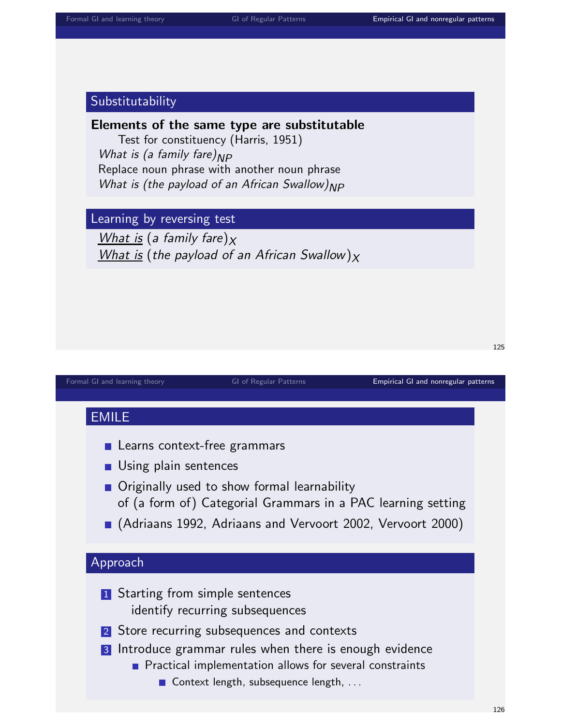#### Substitutability

#### Elements of the same type are substitutable

Test for constituency (Harris, 1951) What is (a family fare) $_{NP}$ Replace noun phrase with another noun phrase What is (the payload of an African Swallow) $_{NP}$ 

Learning by reversing test

What is (a family fare) $x$ What is (the payload of an African Swallow) $_X$ 

# EMILE **Learns context-free grammars Using plain sentences Originally used to show formal learnability** of (a form of) Categorial Grammars in a PAC learning setting (Adriaans 1992, Adriaans and Vervoort 2002, Vervoort 2000) Approach **1** Starting from simple sentences identify recurring subsequences 2 Store recurring subsequences and contexts 3 Introduce grammar rules when there is enough evidence **Practical implementation allows for several constraints** Context length, subsequence length, ...

[Formal GI and learning theory](#page-0-0) **GI of Regular Patterns [Empirical GI and nonregular patterns](#page-55-0)**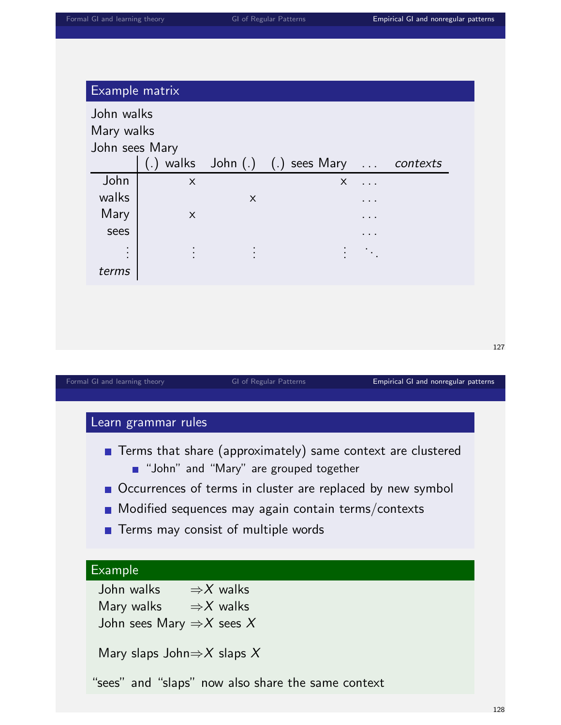|       | John sees Mary |                | (.) walks $John(.)$ (.) sees Mary  contexts |                            |  |
|-------|----------------|----------------|---------------------------------------------|----------------------------|--|
| John  | $\mathsf{X}$   |                | $\times$                                    | $\cdots$                   |  |
| walks |                | $\mathsf X$    |                                             |                            |  |
| Mary  | $\mathsf{X}$   |                |                                             | .                          |  |
| sees  |                |                |                                             | .                          |  |
|       | ċ              | $\ddot{\cdot}$ | ł                                           | $\mathcal{L}^{\text{max}}$ |  |
| terms |                |                |                                             |                            |  |

[Formal GI and learning theory](#page-0-0) **GI of Regular Patterns [Empirical GI and nonregular patterns](#page-55-0)** 

## Learn grammar rules

- **Terms that share (approximately) same context are clustered D** "John" and "Mary" are grouped together
- Occurrences of terms in cluster are replaced by new symbol
- **Modified sequences may again contain terms/contexts**
- $\blacksquare$  Terms may consist of multiple words

# Example

John walks  $\Rightarrow$  X walks Mary walks  $\Rightarrow$  X walks John sees Mary  $\Rightarrow$  X sees X

Mary slaps John $\Rightarrow$ X slaps X

"sees" and "slaps" now also share the same context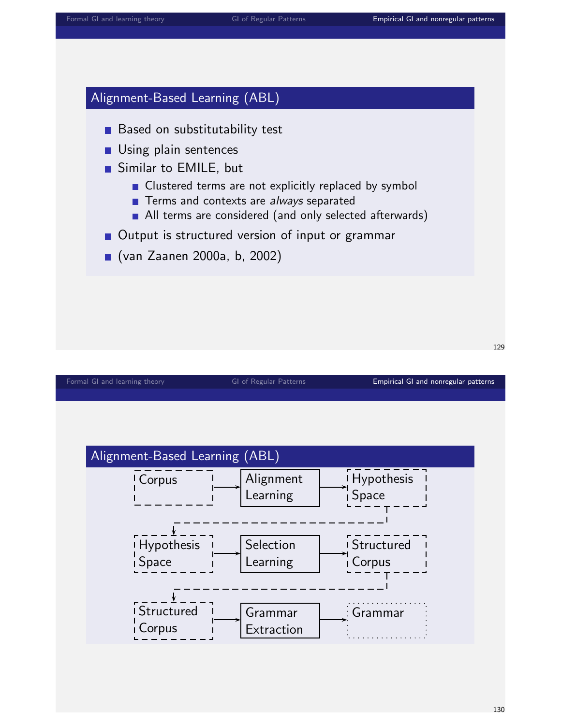# Alignment-Based Learning (ABL)

- **Based on substitutability test**
- **Using plain sentences**
- Similar to EMILE, but
	- **Clustered terms are not explicitly replaced by symbol**
	- **Terms and contexts are always separated**
	- All terms are considered (and only selected afterwards)
- Output is structured version of input or grammar
- (van Zaanen 2000a, b, 2002)

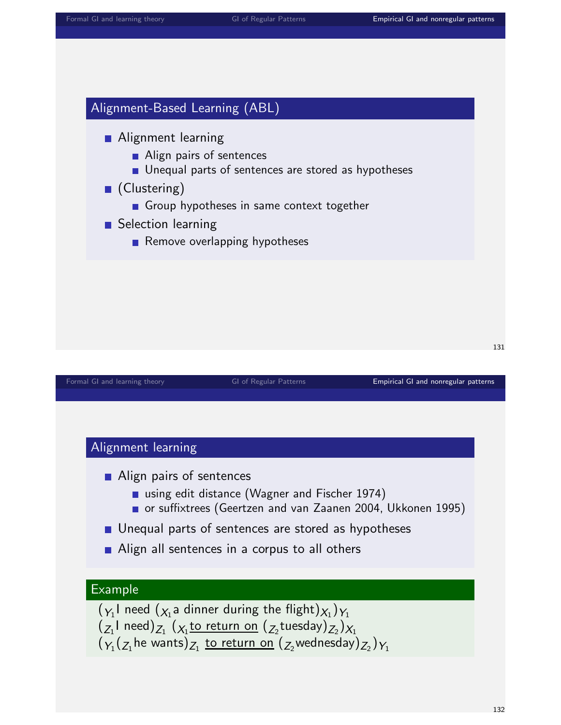# Alignment-Based Learning (ABL)

- **Alignment learning** 
	- Align pairs of sentences
	- **Unequal parts of sentences are stored as hypotheses**
- (Clustering)
	- Group hypotheses in same context together
- Selection learning
	- Remove overlapping hypotheses

|  |  |  | Formal GI and learning theory |  |
|--|--|--|-------------------------------|--|
|--|--|--|-------------------------------|--|

GI of Regular Patterns **[Empirical GI and nonregular patterns](#page-55-0)** 

131

#### Alignment learning

- Align pairs of sentences
	- using edit distance (Wagner and Fischer 1974)
	- or suffixtrees (Geertzen and van Zaanen 2004, Ukkonen 1995)
- **Unequal parts of sentences are stored as hypotheses**
- Align all sentences in a corpus to all others

#### Example

 $(\mathbf{y}_1^{}|$  need  $(\mathbf{y}_1^{}$ a dinner during the flight $)\mathbf{y}_1^{})\mathbf{y}_1^{}$  $(\overline{z_1}$ l need) $_{Z_1}$   $(\overline{\chi_{_1}}$ <u>to return on</u>  $(\overline{z_2}$ tuesday) $_{Z_2})_{X_1}$  $(\operatorname{\gamma}_1(\operatorname{\chi}_1$ he wants) $\operatorname{\chi}_1$  <u>to return on</u>  $(\operatorname{\chi}_2$ wednesday) $\operatorname{\chi}_2)_{Y_1}$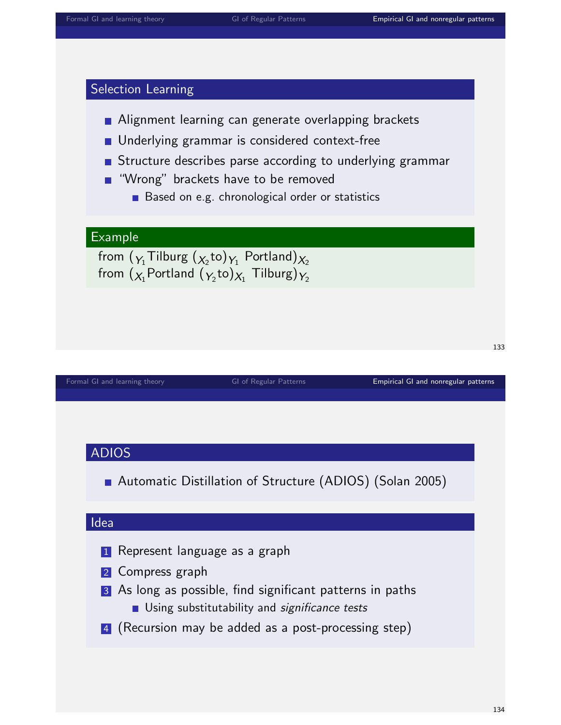## Selection Learning

- **Alignment learning can generate overlapping brackets**
- **Underlying grammar is considered context-free**
- **Structure describes parse according to underlying grammar**
- **"** "Wrong" brackets have to be removed
	- Based on e.g. chronological order or statistics

### Example

from  $(\gamma_1\mathsf{Tilburg}\ (\chi_{_2}\mathsf{to})\gamma_1$  Portland) $\chi_{_2}$ from  $({\chi_{_{1}}$ Portland  $({\gamma_{_{2}} {\rm to}})_{\chi_{_{1}}}$  Tilburg) $\gamma_{_{2}}$ 

[Formal GI and learning theory](#page-0-0) **GI of Regular Patterns [Empirical GI and nonregular patterns](#page-55-0)** 

#### ADIOS

Automatic Distillation of Structure (ADIOS) (Solan 2005)

#### Idea

- **1** Represent language as a graph
- 2 Compress graph
- 3 As long as possible, find significant patterns in paths
	- **Using substitutability and significance tests**
- 4 (Recursion may be added as a post-processing step)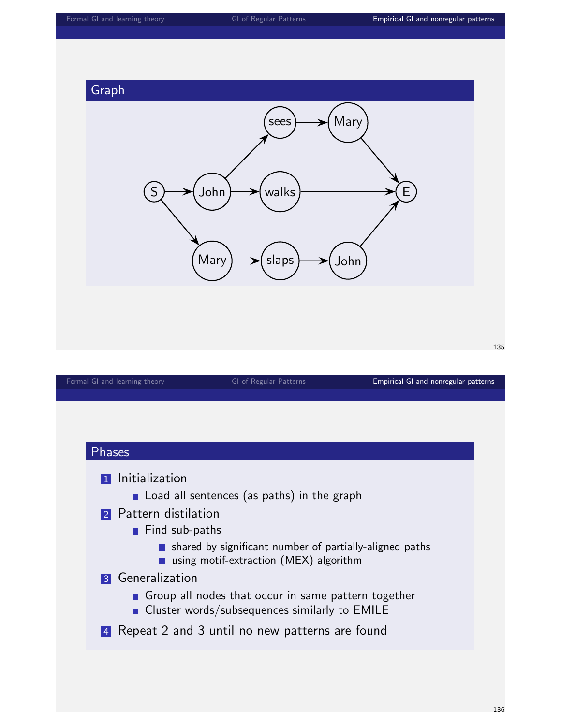

# Phases 1 Initialization Load all sentences (as paths) in the graph 2 Pattern distilation Find sub-paths shared by significant number of partially-aligned paths using motif-extraction (MEX) algorithm 3 Generalization Group all nodes that occur in same pattern together **Cluster words/subsequences similarly to EMILE** 4 Repeat 2 and 3 until no new patterns are found

[Formal GI and learning theory](#page-0-0) **GI of Regular Patterns** [Empirical GI and nonregular patterns](#page-55-0) **Empirical GI and nonregular patterns**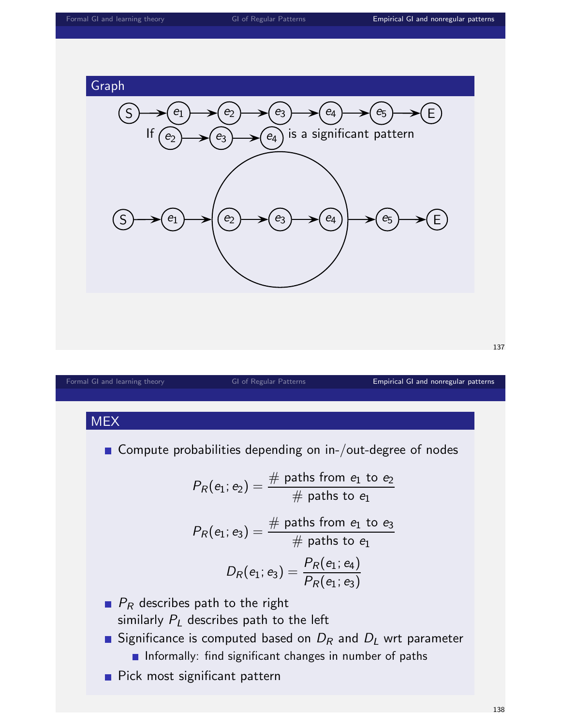

138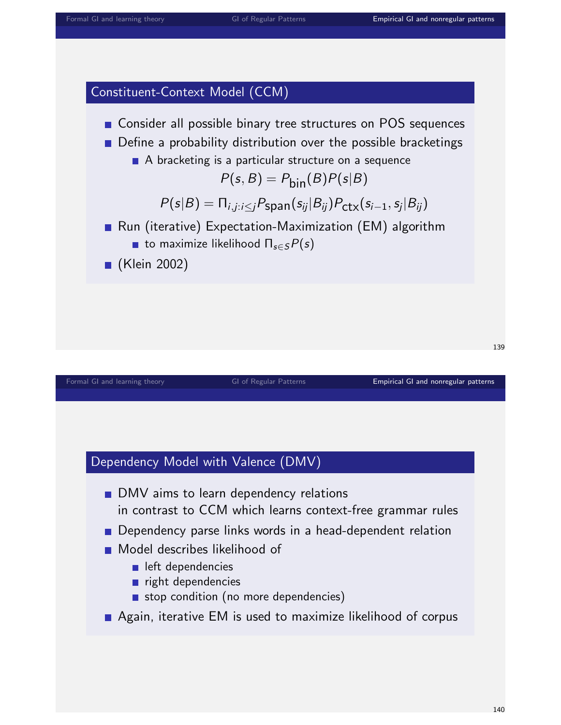# Constituent-Context Model (CCM)



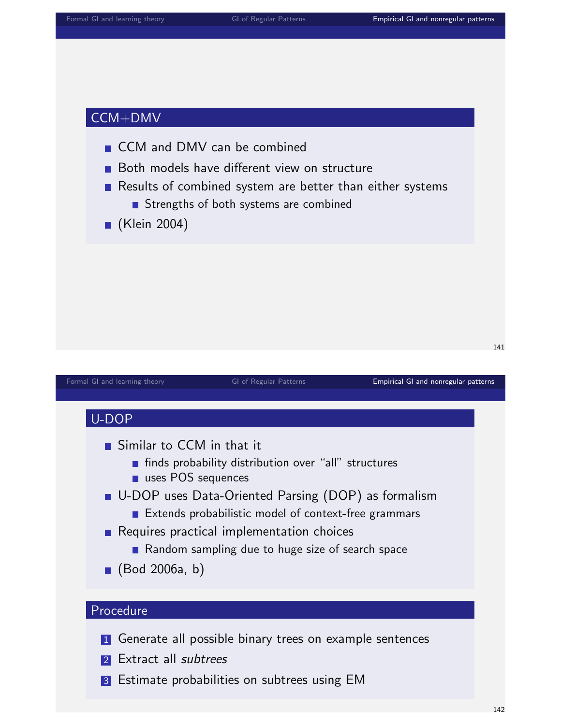# CCM+DMV

- CCM and DMV can be combined
- Both models have different view on structure
- Results of combined system are better than either systems
	- Strengths of both systems are combined
- (Klein 2004)

| Formal GI and learning theory                                                    | GI of Regular Patterns                                                                                                                                                                                                                                                   | Empirical GI and nonregular patterns |
|----------------------------------------------------------------------------------|--------------------------------------------------------------------------------------------------------------------------------------------------------------------------------------------------------------------------------------------------------------------------|--------------------------------------|
|                                                                                  |                                                                                                                                                                                                                                                                          |                                      |
| U-DOP                                                                            |                                                                                                                                                                                                                                                                          |                                      |
| Similar to CCM in that it<br>uses POS sequences<br>$\blacksquare$ (Bod 2006a, b) | finds probability distribution over "all" structures<br>■ U-DOP uses Data-Oriented Parsing (DOP) as formalism<br>Extends probabilistic model of context-free grammars<br>Requires practical implementation choices<br>• Random sampling due to huge size of search space |                                      |
| Procedure                                                                        |                                                                                                                                                                                                                                                                          |                                      |
|                                                                                  |                                                                                                                                                                                                                                                                          |                                      |
|                                                                                  | <b>1</b> Generate all possible binary trees on example sentences                                                                                                                                                                                                         |                                      |
| Extract all subtrees<br> 2                                                       |                                                                                                                                                                                                                                                                          |                                      |
| 3                                                                                | Estimate probabilities on subtrees using EM                                                                                                                                                                                                                              |                                      |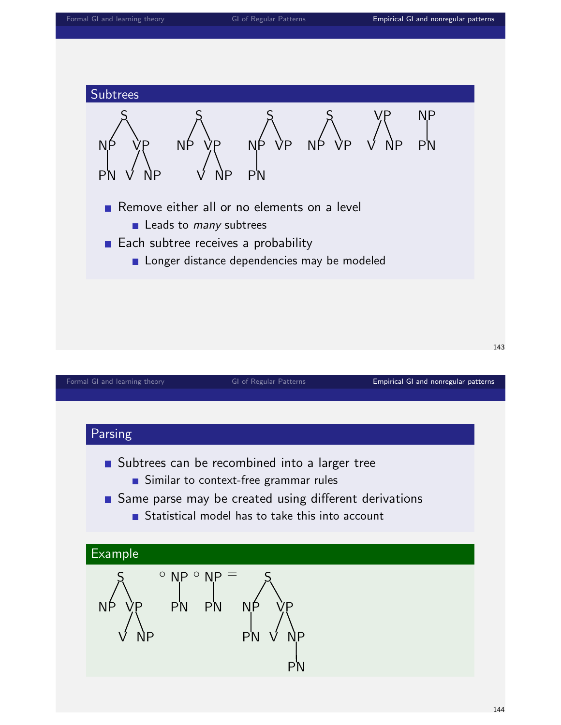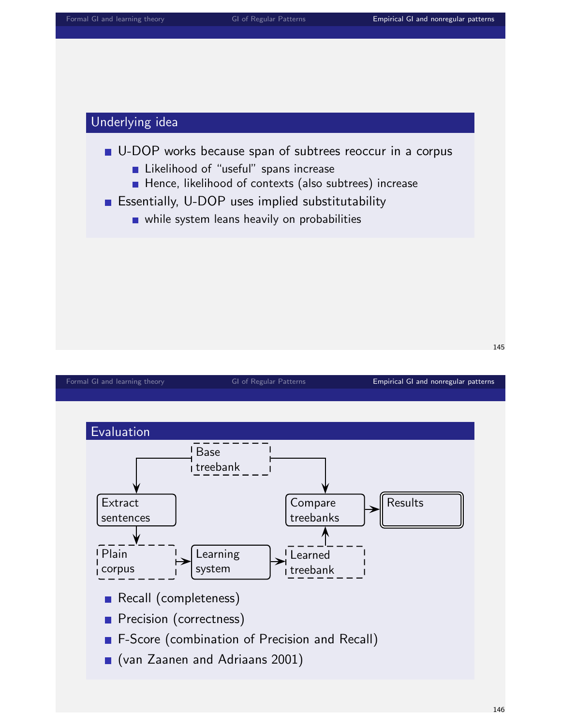### Underlying idea

### U-DOP works because span of subtrees reoccur in a corpus

- **Likelihood of "useful" spans increase**
- Hence, likelihood of contexts (also subtrees) increase
- **Essentially, U-DOP uses implied substitutability** 
	- while system leans heavily on probabilities

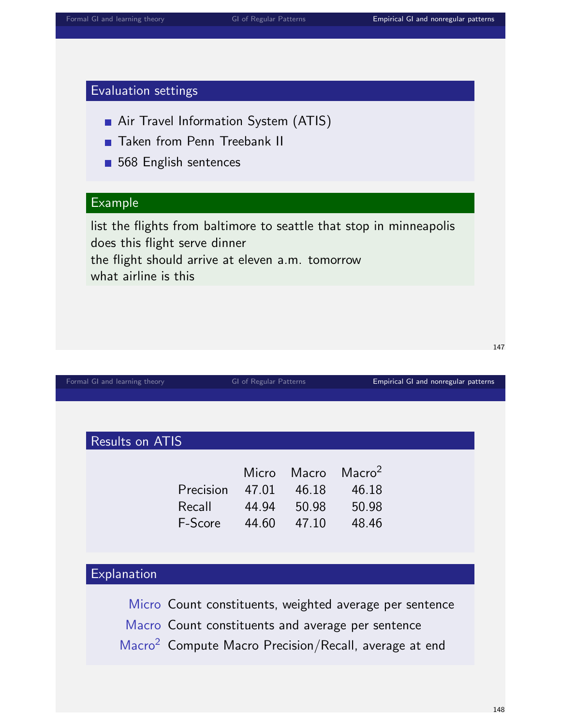# Evaluation settings

- Air Travel Information System (ATIS)
- **Taken from Penn Treebank II**
- 568 English sentences

# Example

list the flights from baltimore to seattle that stop in minneapolis does this flight serve dinner the flight should arrive at eleven a.m. tomorrow what airline is this

| Formal GI and learning theory |                                                                                                                                                                                   | GI of Regular Patterns           |                                  | Empirical GI and nonregular patterns          |  |  |  |  |
|-------------------------------|-----------------------------------------------------------------------------------------------------------------------------------------------------------------------------------|----------------------------------|----------------------------------|-----------------------------------------------|--|--|--|--|
|                               |                                                                                                                                                                                   |                                  |                                  |                                               |  |  |  |  |
|                               |                                                                                                                                                                                   |                                  |                                  |                                               |  |  |  |  |
| Results on ATIS               |                                                                                                                                                                                   |                                  |                                  |                                               |  |  |  |  |
|                               | Precision<br>Recall<br>F-Score                                                                                                                                                    | Micro<br>47.01<br>44.94<br>44.60 | Macro<br>46.18<br>50.98<br>47.10 | Macro <sup>2</sup><br>46.18<br>50.98<br>48.46 |  |  |  |  |
| Explanation                   |                                                                                                                                                                                   |                                  |                                  |                                               |  |  |  |  |
|                               | Micro Count constituents, weighted average per sentence<br>Macro Count constituents and average per sentence<br>Macro <sup>2</sup> Compute Macro Precision/Recall, average at end |                                  |                                  |                                               |  |  |  |  |
|                               |                                                                                                                                                                                   |                                  |                                  |                                               |  |  |  |  |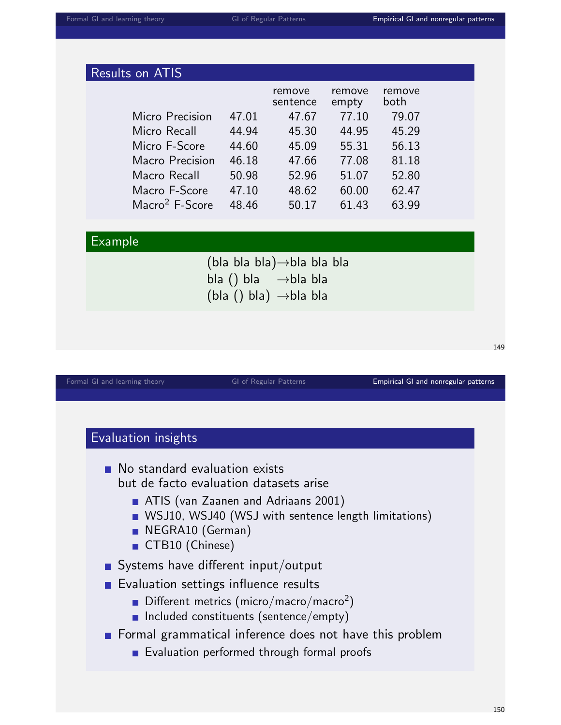| <b>Results on ATIS</b>                      |       |                    |                 |                |  |  |  |  |
|---------------------------------------------|-------|--------------------|-----------------|----------------|--|--|--|--|
|                                             |       | remove<br>sentence | remove<br>empty | remove<br>both |  |  |  |  |
| Micro Precision                             | 47.01 | 47.67              | 77.10           | 79.07          |  |  |  |  |
| Micro Recall                                | 44.94 | 45.30              | 44.95           | 45.29          |  |  |  |  |
| Micro F-Score                               | 44.60 | 45.09              | 55.31           | 56.13          |  |  |  |  |
| Macro Precision                             | 46.18 | 47.66              | 77.08           | 81.18          |  |  |  |  |
| Macro Recall                                | 50.98 | 52.96              | 51.07           | 52.80          |  |  |  |  |
| Macro F-Score                               | 47.10 | 48.62              | 60.00           | 62.47          |  |  |  |  |
| Macro <sup>2</sup> F-Score                  | 48.46 | 50.17              | 61.43           | 63.99          |  |  |  |  |
|                                             |       |                    |                 |                |  |  |  |  |
| Example                                     |       |                    |                 |                |  |  |  |  |
| $(bla bla bla) \rightarrow bla bla bla bla$ |       |                    |                 |                |  |  |  |  |
| bla () bla $\rightarrow$ bla bla            |       |                    |                 |                |  |  |  |  |
| $(bla() bla) \rightarrow bla bla$           |       |                    |                 |                |  |  |  |  |
|                                             |       |                    |                 |                |  |  |  |  |
|                                             |       |                    |                 |                |  |  |  |  |
|                                             |       |                    |                 |                |  |  |  |  |

[Formal GI and learning theory](#page-0-0) **GI of Regular Patterns [Empirical GI and nonregular patterns](#page-55-0)** 

149

# Evaluation insights

- No standard evaluation exists but de facto evaluation datasets arise
	- **ATIS** (van Zaanen and Adriaans 2001)
	- **NO** WSJ10, WSJ40 (WSJ with sentence length limitations)
	- NEGRA10 (German)
	- CTB10 (Chinese)
- Systems have different input/output
- **Evaluation settings influence results** 
	- Different metrics (micro/macro/macro<sup>2</sup>)
	- **Included constituents (sentence/empty)**
- Formal grammatical inference does not have this problem
	- **Exaluation performed through formal proofs**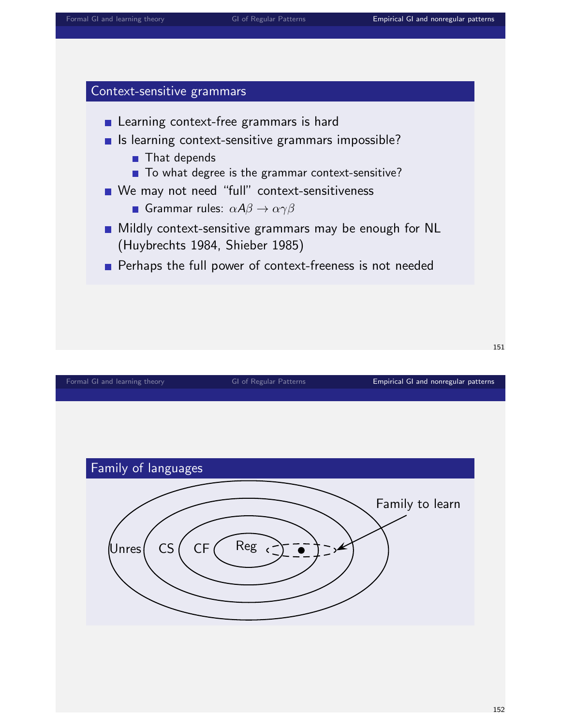### Context-sensitive grammars



- **Mildly context-sensitive grammars may be enough for NL** (Huybrechts 1984, Shieber 1985)
- Perhaps the full power of context-freeness is not needed

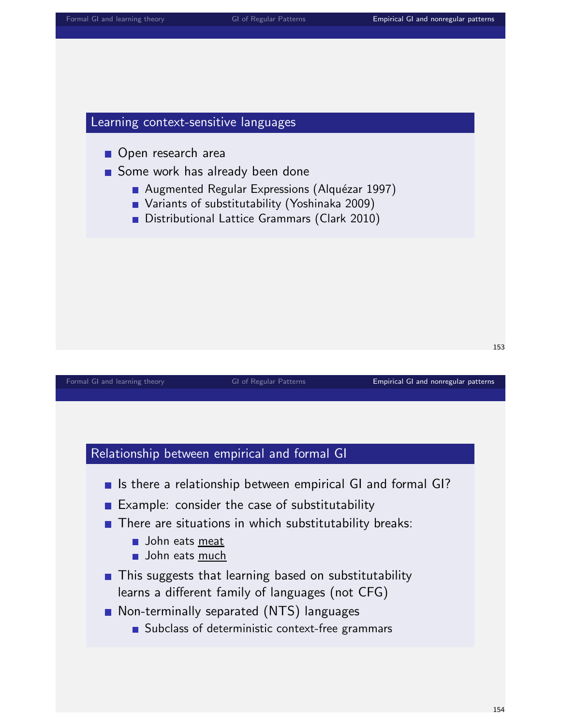## Learning context-sensitive languages

Open research area

# Some work has already been done

- Augmented Regular Expressions (Alquézar 1997)
- Variants of substitutability (Yoshinaka 2009)
- Distributional Lattice Grammars (Clark 2010)

|  | Formal GI and learning theory |  |
|--|-------------------------------|--|
|  |                               |  |

### GI of Regular Patterns **[Empirical GI and nonregular patterns](#page-55-0)**

153

### Relationship between empirical and formal GI

- In Is there a relationship between empirical GI and formal GI?
- Example: consider the case of substitutability
- $\blacksquare$  There are situations in which substitutability breaks:
	- **John eats meat**
	- **John eats much**
- **This suggests that learning based on substitutability** learns a different family of languages (not CFG)
- Non-terminally separated (NTS) languages
	- Subclass of deterministic context-free grammars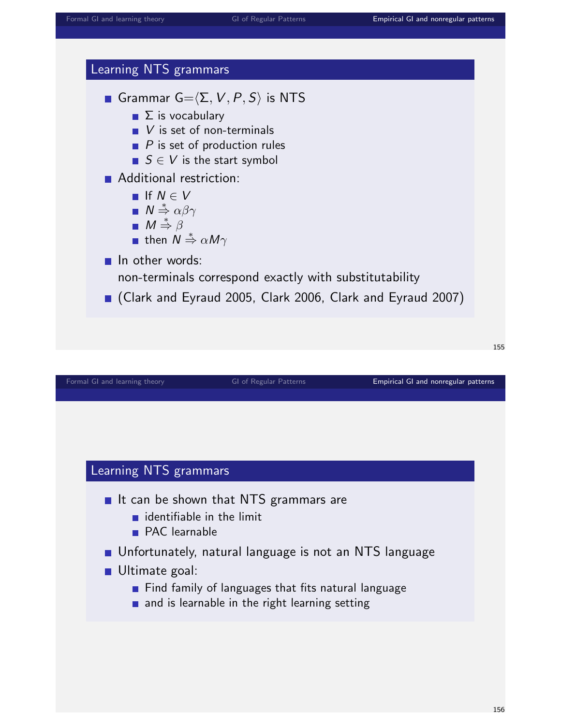

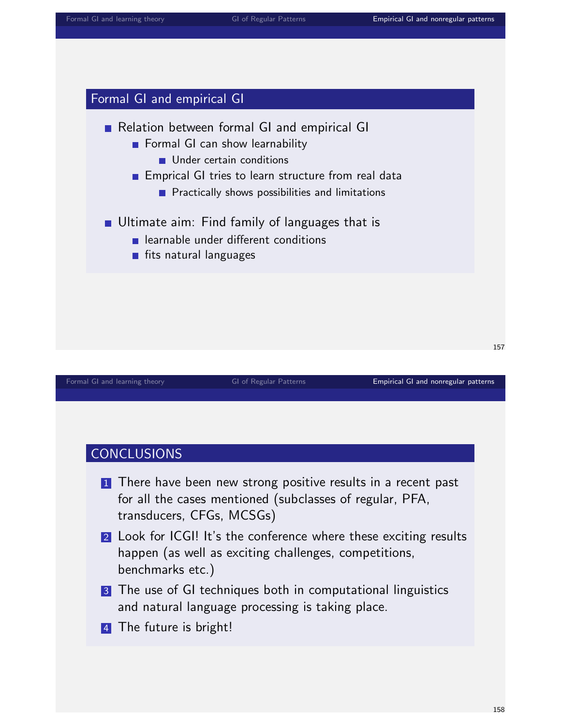# Formal GI and empirical GI

# Relation between formal GI and empirical GI

- Formal GI can show learnability
	- Under certain conditions

### **Emprical GI tries to learn structure from real data**

- **Practically shows possibilities and limitations**
- Ultimate aim: Find family of languages that is
	- **E** learnable under different conditions
	- **fits natural languages**

### [Formal GI and learning theory](#page-0-0) **GI of Regular Patterns [Empirical GI and nonregular patterns](#page-55-0)**

157

# CONCLUSIONS

- **1** There have been new strong positive results in a recent past for all the cases mentioned (subclasses of regular, PFA, transducers, CFGs, MCSGs)
- 2 Look for ICGI! It's the conference where these exciting results happen (as well as exciting challenges, competitions, benchmarks etc.)
- 3 The use of GI techniques both in computational linguistics and natural language processing is taking place.
- 4 The future is bright!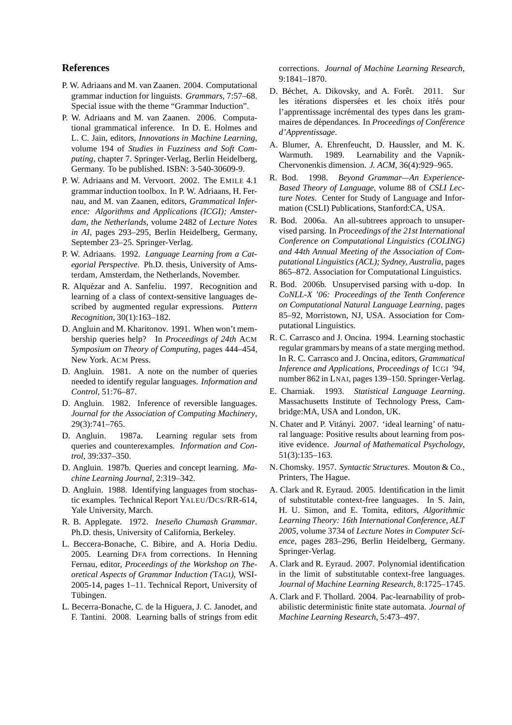### **References**

- P. W. Adriaans and M. van Zaanen. 2004. Computational grammar induction for linguists. *Grammars*, 7:57–68. Special issue with the theme "Grammar Induction".
- P. W. Adriaans and M. van Zaanen. 2006. Computational grammatical inference. In D. E. Holmes and L. C. Jain, editors, *Innovations in Machine Learning*, volume 194 of *Studies in Fuzziness and Soft Computing*, chapter 7. Springer-Verlag, Berlin Heidelberg, Germany. To be published. ISBN: 3-540-30609-9.
- P. W. Adriaans and M. Vervoort. 2002. The EMILE 4.1 grammar induction toolbox. In P. W. Adriaans, H. Fernau, and M. van Zaanen, editors, *Grammatical Inference: Algorithms and Applications (ICGI); Amsterdam, the Netherlands*, volume 2482 of *Lecture Notes in AI*, pages 293–295, Berlin Heidelberg, Germany, September 23–25. Springer-Verlag.
- P. W. Adriaans. 1992. *Language Learning from a Categorial Perspective*. Ph.D. thesis, University of Amsterdam, Amsterdam, the Netherlands, November.
- R. Alquézar and A. Sanfeliu. 1997. Recognition and learning of a class of context-sensitive languages described by augmented regular expressions. *Pattern Recognition*, 30(1):163–182.
- D. Angluin and M. Kharitonov. 1991. When won't membership queries help? In *Proceedings of 24th* ACM *Symposium on Theory of Computing*, pages 444–454, New York. ACM Press.
- D. Angluin. 1981. A note on the number of queries needed to identify regular languages. *Information and Control*, 51:76–87.
- D. Angluin. 1982. Inference of reversible languages. *Journal for the Association of Computing Machinery*, 29(3):741–765.
- D. Angluin. 1987a. Learning regular sets from queries and counterexamples. *Information and Control*, 39:337–350.
- D. Angluin. 1987b. Queries and concept learning. *Machine Learning Journal*, 2:319–342.
- D. Angluin. 1988. Identifying languages from stochastic examples. Technical Report YALEU/DCS/RR-614, Yale University, March.
- R. B. Applegate. 1972. *Ineseño Chumash Grammar*. Ph.D. thesis, University of California, Berkeley.
- L. Beccera-Bonache, C. Bibire, and A. Horia Dediu. 2005. Learning DFA from corrections. In Henning Fernau, editor, *Proceedings of the Workshop on Theoretical Aspects of Grammar Induction (*TAGI*)*, WSI-2005-14, pages 1–11. Technical Report, University of Tübingen.
- L. Becerra-Bonache, C. de la Higuera, J. C. Janodet, and F. Tantini. 2008. Learning balls of strings from edit

corrections. *Journal of Machine Learning Research*, 9:1841–1870.

- D. Béchet, A. Dikovsky, and A. Forêt. 2011. Sur les itérations dispersées et les choix itées pour l'apprentissage incrémental des types dans les grammaires de d´ependances. In *Proceedings of Conference ´ d'Apprentissage*.
- A. Blumer, A. Ehrenfeucht, D. Haussler, and M. K. Warmuth. 1989. Learnability and the Vapnik-Chervonenkis dimension. *J. ACM*, 36(4):929–965.
- R. Bod. 1998. *Beyond Grammar—An Experience-Based Theory of Language*, volume 88 of *CSLI Lecture Notes*. Center for Study of Language and Information (CSLI) Publications, Stanford:CA, USA.
- R. Bod. 2006a. An all-subtrees approach to unsupervised parsing. In *Proceedings of the 21st International Conference on Computational Linguistics (COLING) and 44th Annual Meeting of the Association of Computational Linguistics (ACL); Sydney, Australia*, pages 865–872. Association for Computational Linguistics.
- R. Bod. 2006b. Unsupervised parsing with u-dop. In *CoNLL-X '06: Proceedings of the Tenth Conference on Computational Natural Language Learning*, pages 85–92, Morristown, NJ, USA. Association for Computational Linguistics.
- R. C. Carrasco and J. Oncina. 1994. Learning stochastic regular grammars by means of a state merging method. In R. C. Carrasco and J. Oncina, editors, *Grammatical Inference and Applications, Proceedings of* ICGI *'94*, number 862 in LNAI, pages 139–150. Springer-Verlag.
- E. Charniak. 1993. *Statistical Language Learning*. Massachusetts Institute of Technology Press, Cambridge:MA, USA and London, UK.
- N. Chater and P. Vitányi. 2007. 'ideal learning' of natural language: Positive results about learning from positive evidence. *Journal of Mathematical Psychology*, 51(3):135–163.
- N. Chomsky. 1957. *Syntactic Structures*. Mouton & Co., Printers, The Hague.
- A. Clark and R. Eyraud. 2005. Identification in the limit of substitutable context-free languages. In S. Jain, H. U. Simon, and E. Tomita, editors, *Algorithmic Learning Theory: 16th International Conference, ALT 2005*, volume 3734 of *Lecture Notes in Computer Science*, pages 283–296, Berlin Heidelberg, Germany. Springer-Verlag.
- A. Clark and R. Eyraud. 2007. Polynomial identification in the limit of substitutable context-free languages. *Journal of Machine Learning Research*, 8:1725–1745.
- A. Clark and F. Thollard. 2004. Pac-learnability of probabilistic deterministic finite state automata. *Journal of Machine Learning Research*, 5:473–497.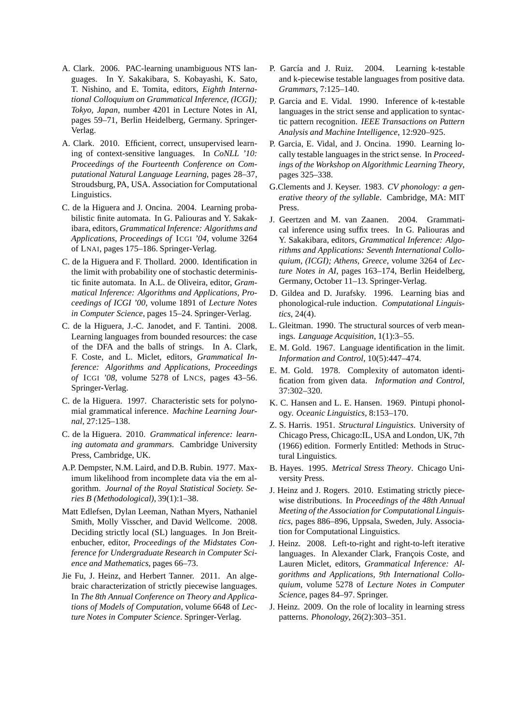- A. Clark. 2006. PAC-learning unambiguous NTS languages. In Y. Sakakibara, S. Kobayashi, K. Sato, T. Nishino, and E. Tomita, editors, *Eighth International Colloquium on Grammatical Inference, (ICGI); Tokyo, Japan*, number 4201 in Lecture Notes in AI, pages 59–71, Berlin Heidelberg, Germany. Springer-Verlag.
- A. Clark. 2010. Efficient, correct, unsupervised learning of context-sensitive languages. In *CoNLL '10: Proceedings of the Fourteenth Conference on Computational Natural Language Learning*, pages 28–37, Stroudsburg, PA, USA. Association for Computational Linguistics.
- C. de la Higuera and J. Oncina. 2004. Learning probabilistic finite automata. In G. Paliouras and Y. Sakakibara, editors, *Grammatical Inference: Algorithms and Applications, Proceedings of* ICGI *'04*, volume 3264 of LNAI, pages 175–186. Springer-Verlag.
- C. de la Higuera and F. Thollard. 2000. Identification in the limit with probability one of stochastic deterministic finite automata. In A.L. de Oliveira, editor, *Grammatical Inference: Algorithms and Applications, Proceedings of ICGI '00*, volume 1891 of *Lecture Notes in Computer Science*, pages 15–24. Springer-Verlag.
- C. de la Higuera, J.-C. Janodet, and F. Tantini. 2008. Learning languages from bounded resources: the case of the DFA and the balls of strings. In A. Clark, F. Coste, and L. Miclet, editors, *Grammatical Inference: Algorithms and Applications, Proceedings of* ICGI *'08*, volume 5278 of LNCS, pages 43–56. Springer-Verlag.
- C. de la Higuera. 1997. Characteristic sets for polynomial grammatical inference. *Machine Learning Journal*, 27:125–138.
- C. de la Higuera. 2010. *Grammatical inference: learning automata and grammars*. Cambridge University Press, Cambridge, UK.
- A.P. Dempster, N.M. Laird, and D.B. Rubin. 1977. Maximum likelihood from incomplete data via the em algorithm. *Journal of the Royal Statistical Society. Series B (Methodological)*, 39(1):1–38.
- Matt Edlefsen, Dylan Leeman, Nathan Myers, Nathaniel Smith, Molly Visscher, and David Wellcome. 2008. Deciding strictly local (SL) languages. In Jon Breitenbucher, editor, *Proceedings of the Midstates Conference for Undergraduate Research in Computer Science and Mathematics*, pages 66–73.
- Jie Fu, J. Heinz, and Herbert Tanner. 2011. An algebraic characterization of strictly piecewise languages. In *The 8th Annual Conference on Theory and Applications of Models of Computation*, volume 6648 of *Lecture Notes in Computer Science*. Springer-Verlag.
- P. García and J. Ruiz. 2004. Learning k-testable and k-piecewise testable languages from positive data. *Grammars*, 7:125–140.
- P. Garcia and E. Vidal. 1990. Inference of k-testable languages in the strict sense and application to syntactic pattern recognition. *IEEE Transactions on Pattern Analysis and Machine Intelligence*, 12:920–925.
- P. Garcia, E. Vidal, and J. Oncina. 1990. Learning locally testable languages in the strict sense. In *Proceedings of the Workshop on Algorithmic Learning Theory*, pages 325–338.
- G.Clements and J. Keyser. 1983. *CV phonology: a generative theory of the syllable*. Cambridge, MA: MIT Press.
- J. Geertzen and M. van Zaanen. 2004. Grammatical inference using suffix trees. In G. Paliouras and Y. Sakakibara, editors, *Grammatical Inference: Algorithms and Applications: Seventh International Colloquium, (ICGI); Athens, Greece*, volume 3264 of *Lecture Notes in AI*, pages 163–174, Berlin Heidelberg, Germany, October 11–13. Springer-Verlag.
- D. Gildea and D. Jurafsky. 1996. Learning bias and phonological-rule induction. *Computational Linguistics*, 24(4).
- L. Gleitman. 1990. The structural sources of verb meanings. *Language Acquisition*, 1(1):3–55.
- E. M. Gold. 1967. Language identification in the limit. *Information and Control*, 10(5):447–474.
- E. M. Gold. 1978. Complexity of automaton identification from given data. *Information and Control*, 37:302–320.
- K. C. Hansen and L. E. Hansen. 1969. Pintupi phonology. *Oceanic Linguistics*, 8:153–170.
- Z. S. Harris. 1951. *Structural Linguistics*. University of Chicago Press, Chicago:IL, USA and London, UK, 7th (1966) edition. Formerly Entitled: Methods in Structural Linguistics.
- B. Hayes. 1995. *Metrical Stress Theory*. Chicago University Press.
- J. Heinz and J. Rogers. 2010. Estimating strictly piecewise distributions. In *Proceedings of the 48th Annual Meeting of the Association for Computational Linguistics*, pages 886–896, Uppsala, Sweden, July. Association for Computational Linguistics.
- J. Heinz. 2008. Left-to-right and right-to-left iterative languages. In Alexander Clark, François Coste, and Lauren Miclet, editors, *Grammatical Inference: Algorithms and Applications, 9th International Colloquium*, volume 5278 of *Lecture Notes in Computer Science*, pages 84–97. Springer.
- J. Heinz. 2009. On the role of locality in learning stress patterns. *Phonology*, 26(2):303–351.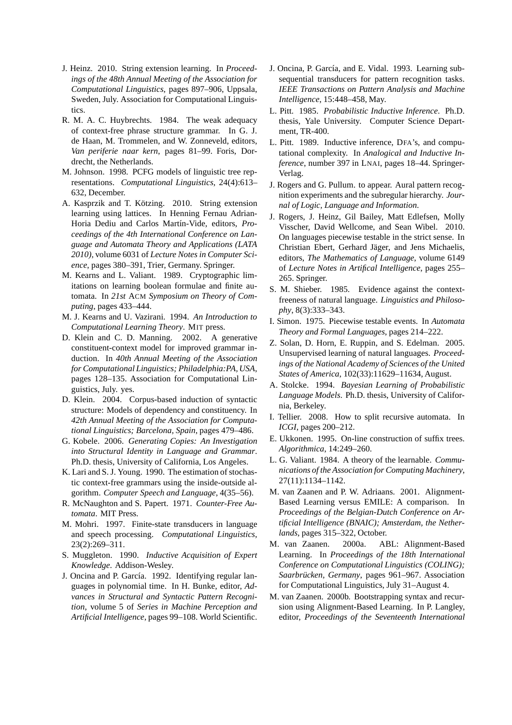- J. Heinz. 2010. String extension learning. In *Proceedings of the 48th Annual Meeting of the Association for Computational Linguistics*, pages 897–906, Uppsala, Sweden, July. Association for Computational Linguistics.
- R. M. A. C. Huybrechts. 1984. The weak adequacy of context-free phrase structure grammar. In G. J. de Haan, M. Trommelen, and W. Zonneveld, editors, *Van periferie naar kern*, pages 81–99. Foris, Dordrecht, the Netherlands.
- M. Johnson. 1998. PCFG models of linguistic tree representations. *Computational Linguistics*, 24(4):613– 632, December.
- A. Kasprzik and T. Kötzing. 2010. String extension learning using lattices. In Henning Fernau Adrian-Horia Dediu and Carlos Martín-Vide, editors, *Proceedings of the 4th International Conference on Language and Automata Theory and Applications (LATA 2010)*, volume 6031 of *Lecture Notes in Computer Science*, pages 380–391, Trier, Germany. Springer.
- M. Kearns and L. Valiant. 1989. Cryptographic limitations on learning boolean formulae and finite automata. In *21st* ACM *Symposium on Theory of Computing*, pages 433–444.
- M. J. Kearns and U. Vazirani. 1994. *An Introduction to Computational Learning Theory*. MIT press.
- D. Klein and C. D. Manning. 2002. A generative constituent-context model for improved grammar induction. In *40th Annual Meeting of the Association for Computational Linguistics; Philadelphia:PA, USA*, pages 128–135. Association for Computational Linguistics, July. yes.
- D. Klein. 2004. Corpus-based induction of syntactic structure: Models of dependency and constituency. In *42th Annual Meeting of the Association for Computational Linguistics; Barcelona, Spain*, pages 479–486.
- G. Kobele. 2006. *Generating Copies: An Investigation into Structural Identity in Language and Grammar*. Ph.D. thesis, University of California, Los Angeles.
- K. Lari and S. J. Young. 1990. The estimation of stochastic context-free grammars using the inside-outside algorithm. *Computer Speech and Language*, 4(35–56).
- R. McNaughton and S. Papert. 1971. *Counter-Free Automata*. MIT Press.
- M. Mohri. 1997. Finite-state transducers in language and speech processing. *Computational Linguistics*, 23(2):269–311.
- S. Muggleton. 1990. *Inductive Acquisition of Expert Knowledge*. Addison-Wesley.
- J. Oncina and P. García. 1992. Identifying regular languages in polynomial time. In H. Bunke, editor, *Advances in Structural and Syntactic Pattern Recognition*, volume 5 of *Series in Machine Perception and Artificial Intelligence*, pages 99–108. World Scientific.
- J. Oncina, P. García, and E. Vidal. 1993. Learning subsequential transducers for pattern recognition tasks. *IEEE Transactions on Pattern Analysis and Machine Intelligence*, 15:448–458, May.
- L. Pitt. 1985. *Probabilistic Inductive Inference*. Ph.D. thesis, Yale University. Computer Science Department, TR-400.
- L. Pitt. 1989. Inductive inference, DFA's, and computational complexity. In *Analogical and Inductive Inference*, number 397 in LNAI, pages 18–44. Springer-Verlag.
- J. Rogers and G. Pullum. to appear. Aural pattern recognition experiments and the subregular hierarchy. *Journal of Logic, Language and Information*.
- J. Rogers, J. Heinz, Gil Bailey, Matt Edlefsen, Molly Visscher, David Wellcome, and Sean Wibel. 2010. On languages piecewise testable in the strict sense. In Christian Ebert, Gerhard Jäger, and Jens Michaelis, editors, *The Mathematics of Language*, volume 6149 of *Lecture Notes in Artifical Intelligence*, pages 255– 265. Springer.
- S. M. Shieber. 1985. Evidence against the contextfreeness of natural language. *Linguistics and Philosophy*, 8(3):333–343.
- I. Simon. 1975. Piecewise testable events. In *Automata Theory and Formal Languages*, pages 214–222.
- Z. Solan, D. Horn, E. Ruppin, and S. Edelman. 2005. Unsupervised learning of natural languages. *Proceedings of the National Academy of Sciences of the United States of America*, 102(33):11629–11634, August.
- A. Stolcke. 1994. *Bayesian Learning of Probabilistic Language Models*. Ph.D. thesis, University of California, Berkeley.
- I. Tellier. 2008. How to split recursive automata. In *ICGI*, pages 200–212.
- E. Ukkonen. 1995. On-line construction of suffix trees. *Algorithmica*, 14:249–260.
- L. G. Valiant. 1984. A theory of the learnable. *Communications of the Association for Computing Machinery*, 27(11):1134–1142.
- M. van Zaanen and P. W. Adriaans. 2001. Alignment-Based Learning versus EMILE: A comparison. In *Proceedings of the Belgian-Dutch Conference on Artificial Intelligence (BNAIC); Amsterdam, the Netherlands*, pages 315–322, October.
- M. van Zaanen. 2000a. ABL: Alignment-Based Learning. In *Proceedings of the 18th International Conference on Computational Linguistics (COLING); Saarbrücken, Germany, pages 961–967. Association* for Computational Linguistics, July 31–August 4.
- M. van Zaanen. 2000b. Bootstrapping syntax and recursion using Alignment-Based Learning. In P. Langley, editor, *Proceedings of the Seventeenth International*